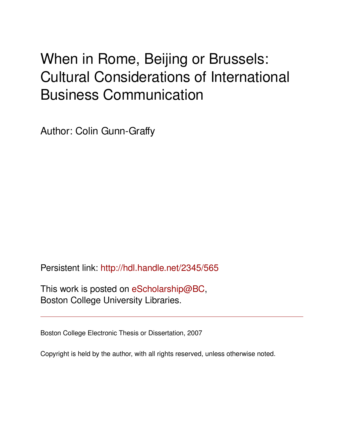# When in Rome, Beijing or Brussels: Cultural Considerations of International Business Communication

Author: Colin Gunn-Graffy

Persistent link: <http://hdl.handle.net/2345/565>

This work is posted on [eScholarship@BC](http://escholarship.bc.edu), Boston College University Libraries.

Boston College Electronic Thesis or Dissertation, 2007

Copyright is held by the author, with all rights reserved, unless otherwise noted.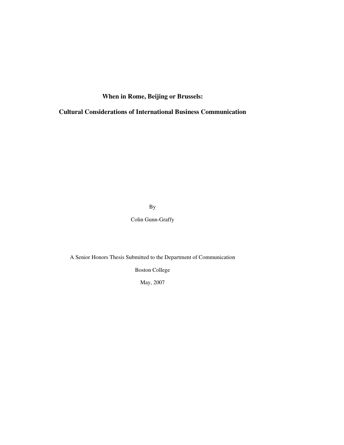**When in Rome, Beijing or Brussels:**

**Cultural Considerations of International Business Communication**

By

Colin Gunn-Graffy

A Senior Honors Thesis Submitted to the Department of Communication

Boston College

May, 2007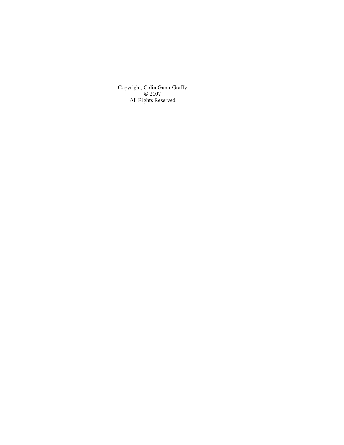Copyright, Colin Gunn-Graffy © 2007 All Rights Reserved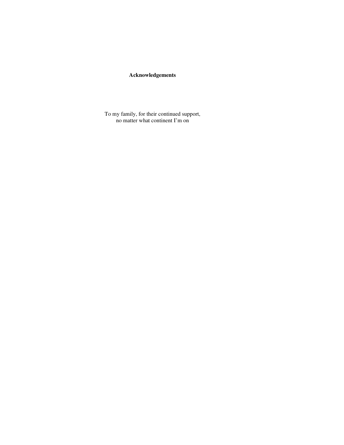# **Acknowledgements**

To my family, for their continued support, no matter what continent I'm on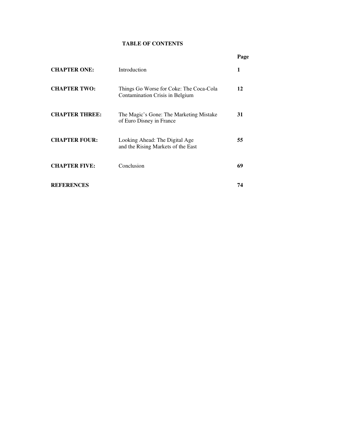# **TABLE OF CONTENTS**

|                       |                                                                            | Page |
|-----------------------|----------------------------------------------------------------------------|------|
| <b>CHAPTER ONE:</b>   | Introduction                                                               | 1    |
| <b>CHAPTER TWO:</b>   | Things Go Worse for Coke: The Coca-Cola<br>Contamination Crisis in Belgium | 12   |
| <b>CHAPTER THREE:</b> | The Magic's Gone: The Marketing Mistake<br>of Euro Disney in France        | 31   |
| <b>CHAPTER FOUR:</b>  | Looking Ahead: The Digital Age<br>and the Rising Markets of the East       | 55   |
| <b>CHAPTER FIVE:</b>  | Conclusion                                                                 | 69   |
| <b>REFERENCES</b>     |                                                                            | 74   |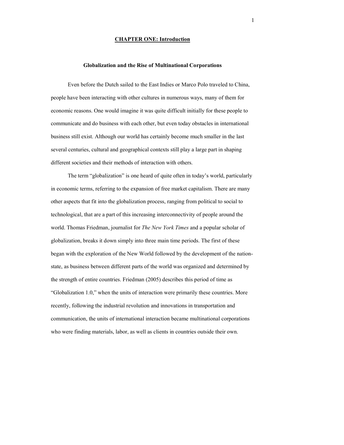## **CHAPTER ONE: Introduction**

#### **Globalization and the Rise of Multinational Corporations**

Even before the Dutch sailed to the East Indies or Marco Polo traveled to China, people have been interacting with other cultures in numerous ways, many of them for economic reasons. One would imagine it was quite difficult initially for these people to communicate and do business with each other, but even today obstacles in international business still exist. Although our world has certainly become much smaller in the last several centuries, cultural and geographical contexts still play a large part in shaping different societies and their methods of interaction with others.

The term "globalization" is one heard of quite often in today's world, particularly in economic terms, referring to the expansion of free market capitalism. There are many other aspects that fit into the globalization process, ranging from political to social to technological, that are a part of this increasing interconnectivity of people around the world. Thomas Friedman, journalist for *The New York Times* and a popular scholar of globalization, breaks it down simply into three main time periods. The first of these began with the exploration of the New World followed by the development of the nationstate, as business between different parts of the world was organized and determined by the strength of entire countries. Friedman (2005) describes this period of time as "Globalization 1.0," when the units of interaction were primarily these countries. More recently, following the industrial revolution and innovations in transportation and communication, the units of international interaction became multinational corporations who were finding materials, labor, as well as clients in countries outside their own.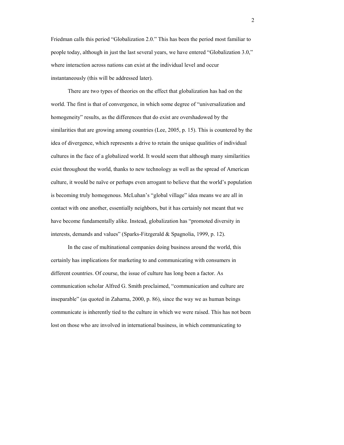Friedman calls this period "Globalization 2.0." This has been the period most familiar to people today, although in just the last several years, we have entered "Globalization 3.0," where interaction across nations can exist at the individual level and occur instantaneously (this will be addressed later).

There are two types of theories on the effect that globalization has had on the world. The first is that of convergence, in which some degree of "universalization and homogeneity" results, as the differences that do exist are overshadowed by the similarities that are growing among countries (Lee, 2005, p. 15). This is countered by the idea of divergence, which represents a drive to retain the unique qualities of individual cultures in the face of a globalized world. It would seem that although many similarities exist throughout the world, thanks to new technology as well as the spread of American culture, it would be naïve or perhaps even arrogant to believe that the world's population is becoming truly homogenous. McLuhan's "global village" idea means we are all in contact with one another, essentially neighbors, but it has certainly not meant that we have become fundamentally alike. Instead, globalization has "promoted diversity in interests, demands and values" (Sparks-Fitzgerald & Spagnolia, 1999, p. 12).

In the case of multinational companies doing business around the world, this certainly has implications for marketing to and communicating with consumers in different countries. Of course, the issue of culture has long been a factor. As communication scholar Alfred G. Smith proclaimed, "communication and culture are inseparable" (as quoted in Zaharna, 2000, p. 86), since the way we as human beings communicate is inherently tied to the culture in which we were raised. This has not been lost on those who are involved in international business, in which communicating to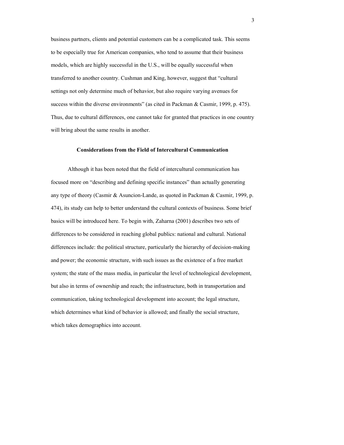business partners, clients and potential customers can be a complicated task. This seems to be especially true for American companies, who tend to assume that their business models, which are highly successful in the U.S., will be equally successful when transferred to another country. Cushman and King, however, suggest that "cultural settings not only determine much of behavior, but also require varying avenues for success within the diverse environments" (as cited in Packman & Casmir, 1999, p. 475). Thus, due to cultural differences, one cannot take for granted that practices in one country will bring about the same results in another.

#### **Considerations from the Field of Intercultural Communication**

Although it has been noted that the field of intercultural communication has focused more on "describing and defining specific instances" than actually generating any type of theory (Casmir & Asuncion-Lande, as quoted in Packman & Casmir, 1999, p. 474), its study can help to better understand the cultural contexts of business. Some brief basics will be introduced here. To begin with, Zaharna (2001) describes two sets of differences to be considered in reaching global publics: national and cultural. National differences include: the political structure, particularly the hierarchy of decision-making and power; the economic structure, with such issues as the existence of a free market system; the state of the mass media, in particular the level of technological development, but also in terms of ownership and reach; the infrastructure, both in transportation and communication, taking technological development into account; the legal structure, which determines what kind of behavior is allowed; and finally the social structure, which takes demographics into account.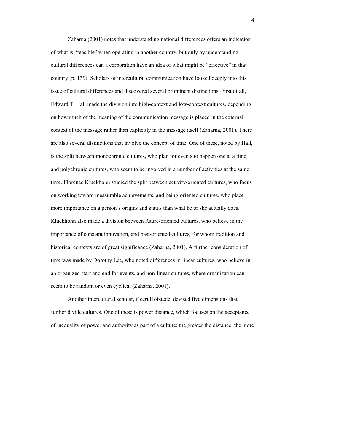Zaharna (2001) notes that understanding national differences offers an indication of what is "feasible" when operating in another country, but only by understanding cultural differences can a corporation have an idea of what might be "effective" in that country (p. 139). Scholars of intercultural communication have looked deeply into this issue of cultural differences and discovered several prominent distinctions. First of all, Edward T. Hall made the division into high-context and low-context cultures, depending on how much of the meaning of the communication message is placed in the external context of the message rather than explicitly in the message itself (Zaharna, 2001). There are also several distinctions that involve the concept of time. One of these, noted by Hall, is the split between monochronic cultures, who plan for events to happen one at a time, and polychronic cultures, who seem to be involved in a number of activities at the same time. Florence Kluckhohn studied the split between activity-oriented cultures, who focus on working toward measurable achievements, and being-oriented cultures, who place more importance on a person's origins and status than what he or she actually does. Kluckhohn also made a division between future-oriented cultures, who believe in the importance of constant innovation, and past-oriented cultures, for whom tradition and historical contexts are of great significance (Zaharna, 2001). A further consideration of time was made by Dorothy Lee, who noted differences in linear cultures, who believe in an organized start and end for events, and non-linear cultures, where organization can seem to be random or even cyclical (Zaharna, 2001).

 Another intercultural scholar, Geert Hofstede, devised five dimensions that further divide cultures. One of these is power distance, which focuses on the acceptance of inequality of power and authority as part of a culture; the greater the distance, the more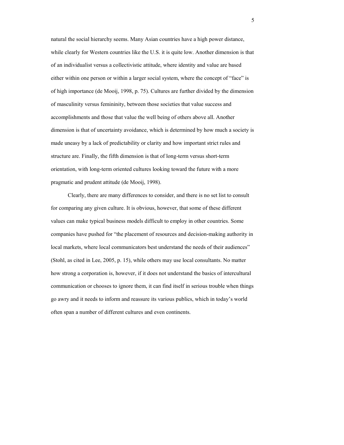natural the social hierarchy seems. Many Asian countries have a high power distance, while clearly for Western countries like the U.S. it is quite low. Another dimension is that of an individualist versus a collectivistic attitude, where identity and value are based either within one person or within a larger social system, where the concept of "face" is of high importance (de Mooij, 1998, p. 75). Cultures are further divided by the dimension of masculinity versus femininity, between those societies that value success and accomplishments and those that value the well being of others above all. Another dimension is that of uncertainty avoidance, which is determined by how much a society is made uneasy by a lack of predictability or clarity and how important strict rules and structure are. Finally, the fifth dimension is that of long-term versus short-term orientation, with long-term oriented cultures looking toward the future with a more pragmatic and prudent attitude (de Mooij, 1998).

 Clearly, there are many differences to consider, and there is no set list to consult for comparing any given culture. It is obvious, however, that some of these different values can make typical business models difficult to employ in other countries. Some companies have pushed for "the placement of resources and decision-making authority in local markets, where local communicators best understand the needs of their audiences" (Stohl, as cited in Lee, 2005, p. 15), while others may use local consultants. No matter how strong a corporation is, however, if it does not understand the basics of intercultural communication or chooses to ignore them, it can find itself in serious trouble when things go awry and it needs to inform and reassure its various publics, which in today's world often span a number of different cultures and even continents.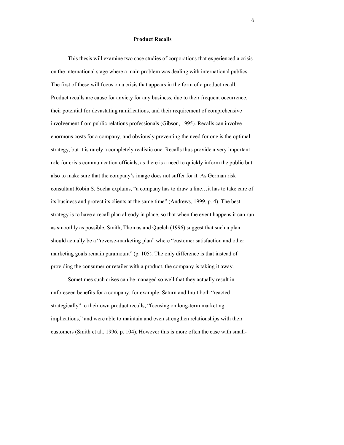#### **Product Recalls**

This thesis will examine two case studies of corporations that experienced a crisis on the international stage where a main problem was dealing with international publics. The first of these will focus on a crisis that appears in the form of a product recall. Product recalls are cause for anxiety for any business, due to their frequent occurrence, their potential for devastating ramifications, and their requirement of comprehensive involvement from public relations professionals (Gibson, 1995). Recalls can involve enormous costs for a company, and obviously preventing the need for one is the optimal strategy, but it is rarely a completely realistic one. Recalls thus provide a very important role for crisis communication officials, as there is a need to quickly inform the public but also to make sure that the company's image does not suffer for it. As German risk consultant Robin S. Socha explains, "a company has to draw a line…it has to take care of its business and protect its clients at the same time" (Andrews, 1999, p. 4). The best strategy is to have a recall plan already in place, so that when the event happens it can run as smoothly as possible. Smith, Thomas and Quelch (1996) suggest that such a plan should actually be a "reverse-marketing plan" where "customer satisfaction and other marketing goals remain paramount" (p. 105). The only difference is that instead of providing the consumer or retailer with a product, the company is taking it away.

Sometimes such crises can be managed so well that they actually result in unforeseen benefits for a company; for example, Saturn and Inuit both "reacted strategically" to their own product recalls, "focusing on long-term marketing implications," and were able to maintain and even strengthen relationships with their customers (Smith et al., 1996, p. 104). However this is more often the case with small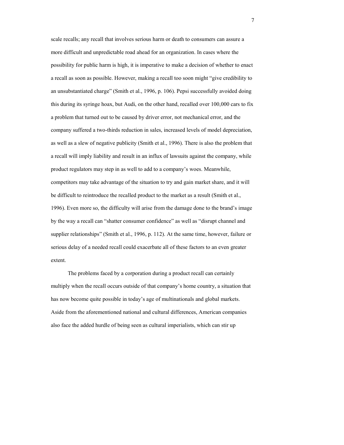scale recalls; any recall that involves serious harm or death to consumers can assure a more difficult and unpredictable road ahead for an organization. In cases where the possibility for public harm is high, it is imperative to make a decision of whether to enact a recall as soon as possible. However, making a recall too soon might "give credibility to an unsubstantiated charge" (Smith et al., 1996, p. 106). Pepsi successfully avoided doing this during its syringe hoax, but Audi, on the other hand, recalled over 100,000 cars to fix a problem that turned out to be caused by driver error, not mechanical error, and the company suffered a two-thirds reduction in sales, increased levels of model depreciation, as well as a slew of negative publicity (Smith et al., 1996). There is also the problem that a recall will imply liability and result in an influx of lawsuits against the company, while product regulators may step in as well to add to a company's woes. Meanwhile, competitors may take advantage of the situation to try and gain market share, and it will be difficult to reintroduce the recalled product to the market as a result (Smith et al., 1996). Even more so, the difficulty will arise from the damage done to the brand's image by the way a recall can "shatter consumer confidence" as well as "disrupt channel and supplier relationships" (Smith et al., 1996, p. 112). At the same time, however, failure or serious delay of a needed recall could exacerbate all of these factors to an even greater extent.

The problems faced by a corporation during a product recall can certainly multiply when the recall occurs outside of that company's home country, a situation that has now become quite possible in today's age of multinationals and global markets. Aside from the aforementioned national and cultural differences, American companies also face the added hurdle of being seen as cultural imperialists, which can stir up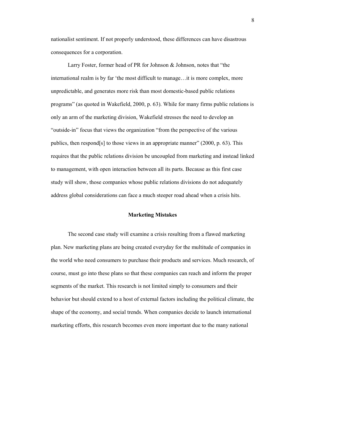nationalist sentiment. If not properly understood, these differences can have disastrous consequences for a corporation.

Larry Foster, former head of PR for Johnson & Johnson, notes that "the international realm is by far 'the most difficult to manage…it is more complex, more unpredictable, and generates more risk than most domestic-based public relations programs" (as quoted in Wakefield, 2000, p. 63). While for many firms public relations is only an arm of the marketing division, Wakefield stresses the need to develop an "outside-in" focus that views the organization "from the perspective of the various publics, then respond[s] to those views in an appropriate manner" (2000, p. 63). This requires that the public relations division be uncoupled from marketing and instead linked to management, with open interaction between all its parts. Because as this first case study will show, those companies whose public relations divisions do not adequately address global considerations can face a much steeper road ahead when a crisis hits.

#### **Marketing Mistakes**

The second case study will examine a crisis resulting from a flawed marketing plan. New marketing plans are being created everyday for the multitude of companies in the world who need consumers to purchase their products and services. Much research, of course, must go into these plans so that these companies can reach and inform the proper segments of the market. This research is not limited simply to consumers and their behavior but should extend to a host of external factors including the political climate, the shape of the economy, and social trends. When companies decide to launch international marketing efforts, this research becomes even more important due to the many national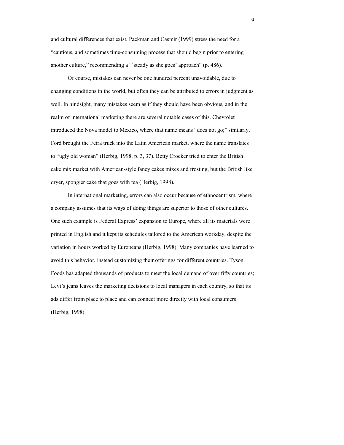and cultural differences that exist. Packman and Casmir (1999) stress the need for a "cautious, and sometimes time-consuming process that should begin prior to entering another culture," recommending a "'steady as she goes' approach" (p. 486).

Of course, mistakes can never be one hundred percent unavoidable, due to changing conditions in the world, but often they can be attributed to errors in judgment as well. In hindsight, many mistakes seem as if they should have been obvious, and in the realm of international marketing there are several notable cases of this. Chevrolet introduced the Nova model to Mexico, where that name means "does not go;" similarly, Ford brought the Feira truck into the Latin American market, where the name translates to "ugly old woman" (Herbig, 1998, p. 3, 37). Betty Crocker tried to enter the British cake mix market with American-style fancy cakes mixes and frosting, but the British like dryer, spongier cake that goes with tea (Herbig, 1998).

In international marketing, errors can also occur because of ethnocentrism, where a company assumes that its ways of doing things are superior to those of other cultures. One such example is Federal Express' expansion to Europe, where all its materials were printed in English and it kept its schedules tailored to the American workday, despite the variation in hours worked by Europeans (Herbig, 1998). Many companies have learned to avoid this behavior, instead customizing their offerings for different countries. Tyson Foods has adapted thousands of products to meet the local demand of over fifty countries; Levi's jeans leaves the marketing decisions to local managers in each country, so that its ads differ from place to place and can connect more directly with local consumers (Herbig, 1998).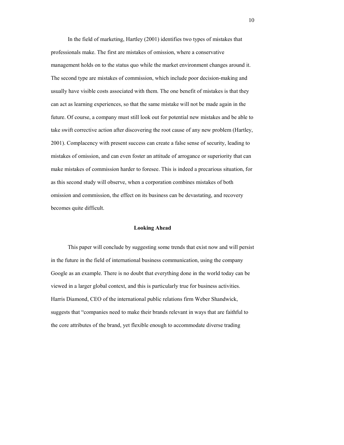In the field of marketing, Hartley (2001) identifies two types of mistakes that professionals make. The first are mistakes of omission, where a conservative management holds on to the status quo while the market environment changes around it. The second type are mistakes of commission, which include poor decision-making and usually have visible costs associated with them. The one benefit of mistakes is that they can act as learning experiences, so that the same mistake will not be made again in the future. Of course, a company must still look out for potential new mistakes and be able to take swift corrective action after discovering the root cause of any new problem (Hartley, 2001). Complacency with present success can create a false sense of security, leading to mistakes of omission, and can even foster an attitude of arrogance or superiority that can make mistakes of commission harder to foresee. This is indeed a precarious situation, for as this second study will observe, when a corporation combines mistakes of both omission and commission, the effect on its business can be devastating, and recovery becomes quite difficult.

#### **Looking Ahead**

This paper will conclude by suggesting some trends that exist now and will persist in the future in the field of international business communication, using the company Google as an example. There is no doubt that everything done in the world today can be viewed in a larger global context, and this is particularly true for business activities. Harris Diamond, CEO of the international public relations firm Weber Shandwick, suggests that "companies need to make their brands relevant in ways that are faithful to the core attributes of the brand, yet flexible enough to accommodate diverse trading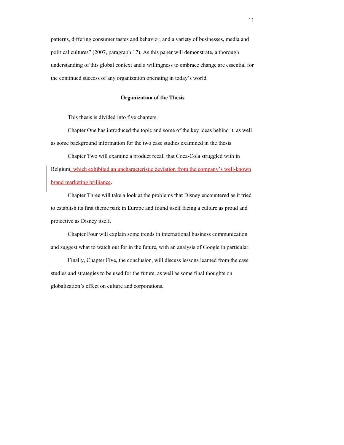patterns, differing consumer tastes and behavior, and a variety of businesses, media and political cultures" (2007, paragraph 17). As this paper will demonstrate, a thorough understanding of this global context and a willingness to embrace change are essential for the continued success of any organization operating in today's world.

#### **Organization of the Thesis**

This thesis is divided into five chapters.

 Chapter One has introduced the topic and some of the key ideas behind it, as well as some background information for the two case studies examined in the thesis.

 Chapter Two will examine a product recall that Coca-Cola struggled with in Belgium, which exhibited an uncharacteristic deviation from the company's well-known brand marketing brilliance.

Chapter Three will take a look at the problems that Disney encountered as it tried to establish its first theme park in Europe and found itself facing a culture as proud and protective as Disney itself.

 Chapter Four will explain some trends in international business communication and suggest what to watch out for in the future, with an analysis of Google in particular.

 Finally, Chapter Five, the conclusion, will discuss lessons learned from the case studies and strategies to be used for the future, as well as some final thoughts on globalization's effect on culture and corporations.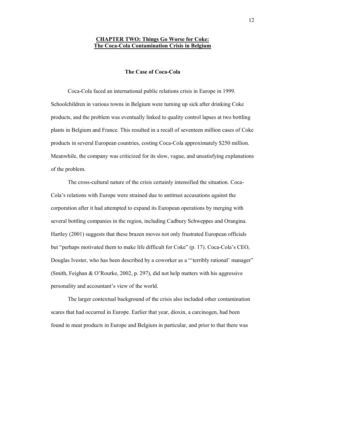# **CHAPTER TWO: Things Go Worse for Coke: The Coca-Cola Contamination Crisis in Belgium**

# **The Case of Coca-Cola**

Coca-Cola faced an international public relations crisis in Europe in 1999. Schoolchildren in various towns in Belgium were turning up sick after drinking Coke products, and the problem was eventually linked to quality control lapses at two bottling plants in Belgium and France. This resulted in a recall of seventeen million cases of Coke products in several European countries, costing Coca-Cola approximately \$250 million. Meanwhile, the company was criticized for its slow, vague, and unsatisfying explanations of the problem.

The cross-cultural nature of the crisis certainly intensified the situation. Coca-Cola's relations with Europe were strained due to antitrust accusations against the corporation after it had attempted to expand its European operations by merging with several bottling companies in the region, including Cadbury Schweppes and Orangina. Hartley (2001) suggests that these brazen moves not only frustrated European officials but "perhaps motivated them to make life difficult for Coke" (p. 17). Coca-Cola's CEO, Douglas Ivester, who has been described by a coworker as a "'terribly rational' manager" (Smith, Feighan & O'Rourke, 2002, p. 297), did not help matters with his aggressive personality and accountant's view of the world.

The larger contextual background of the crisis also included other contamination scares that had occurred in Europe. Earlier that year, dioxin, a carcinogen, had been found in meat products in Europe and Belgium in particular, and prior to that there was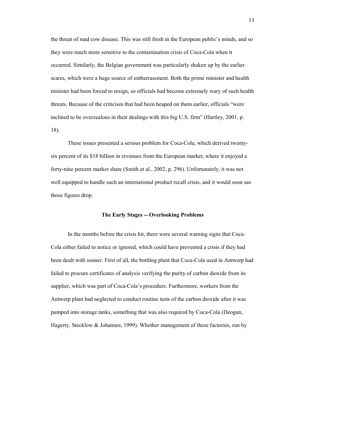the threat of mad cow disease. This was still fresh in the European public's minds, and so they were much more sensitive to the contamination crisis of Coca-Cola when it occurred. Similarly, the Belgian government was particularly shaken up by the earlier scares, which were a huge source of embarrassment. Both the prime minister and health minister had been forced to resign, so officials had become extremely wary of such health threats. Because of the criticism that had been heaped on them earlier, officials "were inclined to be overzealous in their dealings with this big U.S. firm" (Hartley, 2001, p. 18).

These issues presented a serious problem for Coca-Cola, which derived twentysix percent of its \$18 billion in revenues from the European market, where it enjoyed a forty-nine percent market share (Smith et al., 2002, p. 296). Unfortunately, it was not well equipped to handle such an international product recall crisis, and it would soon see those figures drop.

#### **The Early Stages -- Overlooking Problems**

In the months before the crisis hit, there were several warning signs that Coca-Cola either failed to notice or ignored, which could have prevented a crisis if they had been dealt with sooner. First of all, the bottling plant that Coca-Cola used in Antwerp had failed to procure certificates of analysis verifying the purity of carbon dioxide from its supplier, which was part of Coca-Cola's procedure. Furthermore, workers from the Antwerp plant had neglected to conduct routine tests of the carbon dioxide after it was pumped into storage tanks, something that was also required by Coca-Cola (Deogun, Hagerty, Stecklow & Johannes, 1999). Whether management of these factories, run by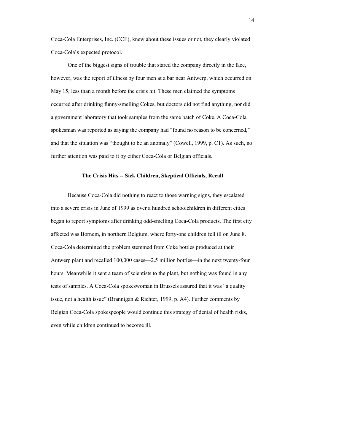Coca-Cola Enterprises, Inc. (CCE), knew about these issues or not, they clearly violated Coca-Cola's expected protocol.

One of the biggest signs of trouble that stared the company directly in the face, however, was the report of illness by four men at a bar near Antwerp, which occurred on May 15, less than a month before the crisis hit. These men claimed the symptoms occurred after drinking funny-smelling Cokes, but doctors did not find anything, nor did a government laboratory that took samples from the same batch of Coke. A Coca-Cola spokesman was reported as saying the company had "found no reason to be concerned," and that the situation was "thought to be an anomaly" (Cowell, 1999, p. C1). As such, no further attention was paid to it by either Coca-Cola or Belgian officials.

# **The Crisis Hits -- Sick Children, Skeptical Officials, Recall**

Because Coca-Cola did nothing to react to those warning signs, they escalated into a severe crisis in June of 1999 as over a hundred schoolchildren in different cities began to report symptoms after drinking odd-smelling Coca-Cola products. The first city affected was Bornem, in northern Belgium, where forty-one children fell ill on June 8. Coca-Cola determined the problem stemmed from Coke bottles produced at their Antwerp plant and recalled 100,000 cases—2.5 million bottles—in the next twenty-four hours. Meanwhile it sent a team of scientists to the plant, but nothing was found in any tests of samples. A Coca-Cola spokeswoman in Brussels assured that it was "a quality issue, not a health issue" (Brannigan & Richter, 1999, p. A4). Further comments by Belgian Coca-Cola spokespeople would continue this strategy of denial of health risks, even while children continued to become ill.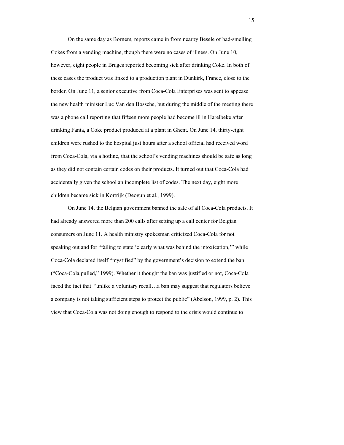On the same day as Bornem, reports came in from nearby Besele of bad-smelling Cokes from a vending machine, though there were no cases of illness. On June 10, however, eight people in Bruges reported becoming sick after drinking Coke. In both of these cases the product was linked to a production plant in Dunkirk, France, close to the border. On June 11, a senior executive from Coca-Cola Enterprises was sent to appease the new health minister Luc Van den Bossche, but during the middle of the meeting there was a phone call reporting that fifteen more people had become ill in Harelbeke after drinking Fanta, a Coke product produced at a plant in Ghent. On June 14, thirty-eight children were rushed to the hospital just hours after a school official had received word from Coca-Cola, via a hotline, that the school's vending machines should be safe as long as they did not contain certain codes on their products. It turned out that Coca-Cola had accidentally given the school an incomplete list of codes. The next day, eight more children became sick in Kortrijk (Deogun et al., 1999).

On June 14, the Belgian government banned the sale of all Coca-Cola products. It had already answered more than 200 calls after setting up a call center for Belgian consumers on June 11. A health ministry spokesman criticized Coca-Cola for not speaking out and for "failing to state 'clearly what was behind the intoxication,'" while Coca-Cola declared itself "mystified" by the government's decision to extend the ban ("Coca-Cola pulled," 1999). Whether it thought the ban was justified or not, Coca-Cola faced the fact that "unlike a voluntary recall…a ban may suggest that regulators believe a company is not taking sufficient steps to protect the public" (Abelson, 1999, p. 2). This view that Coca-Cola was not doing enough to respond to the crisis would continue to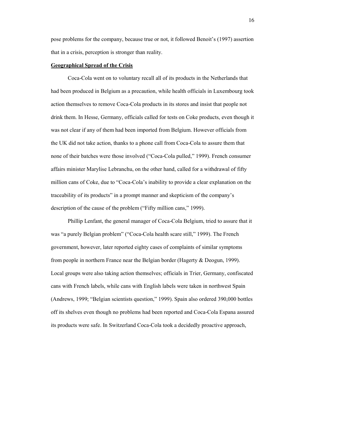pose problems for the company, because true or not, it followed Benoit's (1997) assertion that in a crisis, perception is stronger than reality.

# **Geographical Spread of the Crisis**

Coca-Cola went on to voluntary recall all of its products in the Netherlands that had been produced in Belgium as a precaution, while health officials in Luxembourg took action themselves to remove Coca-Cola products in its stores and insist that people not drink them. In Hesse, Germany, officials called for tests on Coke products, even though it was not clear if any of them had been imported from Belgium. However officials from the UK did not take action, thanks to a phone call from Coca-Cola to assure them that none of their batches were those involved ("Coca-Cola pulled," 1999). French consumer affairs minister Marylise Lebranchu, on the other hand, called for a withdrawal of fifty million cans of Coke, due to "Coca-Cola's inability to provide a clear explanation on the traceability of its products" in a prompt manner and skepticism of the company's description of the cause of the problem ("Fifty million cans," 1999).

Phillip Lenfant, the general manager of Coca-Cola Belgium, tried to assure that it was "a purely Belgian problem" ("Coca-Cola health scare still," 1999). The French government, however, later reported eighty cases of complaints of similar symptoms from people in northern France near the Belgian border (Hagerty & Deogun, 1999). Local groups were also taking action themselves; officials in Trier, Germany, confiscated cans with French labels, while cans with English labels were taken in northwest Spain (Andrews, 1999; "Belgian scientists question," 1999). Spain also ordered 390,000 bottles off its shelves even though no problems had been reported and Coca-Cola Espana assured its products were safe. In Switzerland Coca-Cola took a decidedly proactive approach,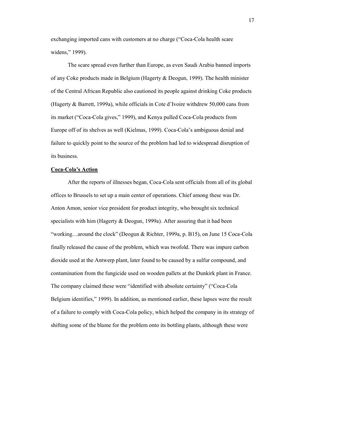exchanging imported cans with customers at no charge ("Coca-Cola health scare widens," 1999).

The scare spread even further than Europe, as even Saudi Arabia banned imports of any Coke products made in Belgium (Hagerty  $\&$  Deogun, 1999). The health minister of the Central African Republic also cautioned its people against drinking Coke products (Hagerty & Barrett, 1999a), while officials in Cote d'Ivoire withdrew 50,000 cans from its market ("Coca-Cola gives," 1999), and Kenya pulled Coca-Cola products from Europe off of its shelves as well (Kielmas, 1999). Coca-Cola's ambiguous denial and failure to quickly point to the source of the problem had led to widespread disruption of its business.

#### **Coca-Cola's Action**

After the reports of illnesses began, Coca-Cola sent officials from all of its global offices to Brussels to set up a main center of operations. Chief among these was Dr. Anton Amon, senior vice president for product integrity, who brought six technical specialists with him (Hagerty & Deogun, 1999a). After assuring that it had been "working…around the clock" (Deogun & Richter, 1999a, p. B15), on June 15 Coca-Cola finally released the cause of the problem, which was twofold. There was impure carbon dioxide used at the Antwerp plant, later found to be caused by a sulfur compound, and contamination from the fungicide used on wooden pallets at the Dunkirk plant in France. The company claimed these were "identified with absolute certainty" ("Coca-Cola Belgium identifies," 1999). In addition, as mentioned earlier, these lapses were the result of a failure to comply with Coca-Cola policy, which helped the company in its strategy of shifting some of the blame for the problem onto its bottling plants, although these were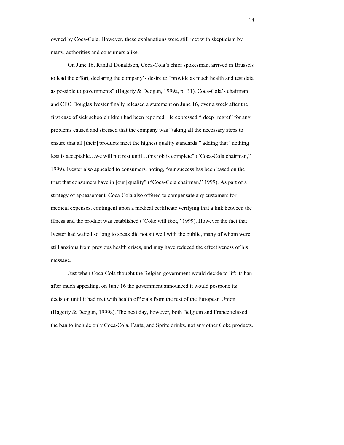owned by Coca-Cola. However, these explanations were still met with skepticism by many, authorities and consumers alike.

On June 16, Randal Donaldson, Coca-Cola's chief spokesman, arrived in Brussels to lead the effort, declaring the company's desire to "provide as much health and test data as possible to governments" (Hagerty & Deogun, 1999a, p. B1). Coca-Cola's chairman and CEO Douglas Ivester finally released a statement on June 16, over a week after the first case of sick schoolchildren had been reported. He expressed "[deep] regret" for any problems caused and stressed that the company was "taking all the necessary steps to ensure that all [their] products meet the highest quality standards," adding that "nothing less is acceptable…we will not rest until…this job is complete" ("Coca-Cola chairman," 1999). Ivester also appealed to consumers, noting, "our success has been based on the trust that consumers have in [our] quality" ("Coca-Cola chairman," 1999). As part of a strategy of appeasement, Coca-Cola also offered to compensate any customers for medical expenses, contingent upon a medical certificate verifying that a link between the illness and the product was established ("Coke will foot," 1999). However the fact that Ivester had waited so long to speak did not sit well with the public, many of whom were still anxious from previous health crises, and may have reduced the effectiveness of his message.

Just when Coca-Cola thought the Belgian government would decide to lift its ban after much appealing, on June 16 the government announced it would postpone its decision until it had met with health officials from the rest of the European Union (Hagerty & Deogun, 1999a). The next day, however, both Belgium and France relaxed the ban to include only Coca-Cola, Fanta, and Sprite drinks, not any other Coke products.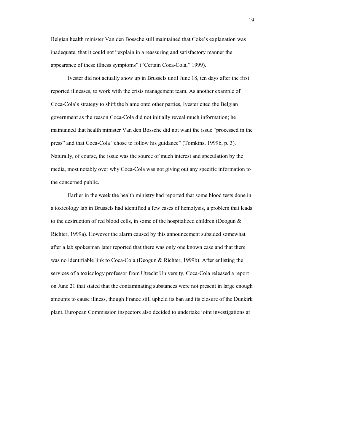Belgian health minister Van den Bossche still maintained that Coke's explanation was inadequate, that it could not "explain in a reassuring and satisfactory manner the appearance of these illness symptoms" ("Certain Coca-Cola," 1999).

Ivester did not actually show up in Brussels until June 18, ten days after the first reported illnesses, to work with the crisis management team. As another example of Coca-Cola's strategy to shift the blame onto other parties, Ivester cited the Belgian government as the reason Coca-Cola did not initially reveal much information; he maintained that health minister Van den Bossche did not want the issue "processed in the press" and that Coca-Cola "chose to follow his guidance" (Tomkins, 1999b, p. 3). Naturally, of course, the issue was the source of much interest and speculation by the media, most notably over why Coca-Cola was not giving out any specific information to the concerned public.

Earlier in the week the health ministry had reported that some blood tests done in a toxicology lab in Brussels had identified a few cases of hemolysis, a problem that leads to the destruction of red blood cells, in some of the hospitalized children (Deogun & Richter, 1999a). However the alarm caused by this announcement subsided somewhat after a lab spokesman later reported that there was only one known case and that there was no identifiable link to Coca-Cola (Deogun & Richter, 1999b). After enlisting the services of a toxicology professor from Utrecht University, Coca-Cola released a report on June 21 that stated that the contaminating substances were not present in large enough amounts to cause illness, though France still upheld its ban and its closure of the Dunkirk plant. European Commission inspectors also decided to undertake joint investigations at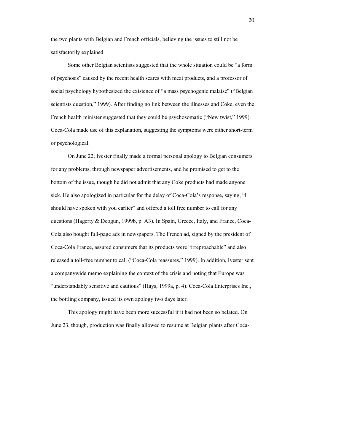the two plants with Belgian and French officials, believing the issues to still not be satisfactorily explained.

Some other Belgian scientists suggested that the whole situation could be "a form of psychosis" caused by the recent health scares with meat products, and a professor of social psychology hypothesized the existence of "a mass psychogenic malaise" ("Belgian scientists question," 1999). After finding no link between the illnesses and Coke, even the French health minister suggested that they could be psychosomatic ("New twist," 1999). Coca-Cola made use of this explanation, suggesting the symptoms were either short-term or psychological.

On June 22, Ivester finally made a formal personal apology to Belgian consumers for any problems, through newspaper advertisements, and he promised to get to the bottom of the issue, though he did not admit that any Coke products had made anyone sick. He also apologized in particular for the delay of Coca-Cola's response, saying, "I should have spoken with you earlier" and offered a toll free number to call for any questions (Hagerty & Deogun, 1999b, p. A3). In Spain, Greece, Italy, and France, Coca-Cola also bought full-page ads in newspapers. The French ad, signed by the president of Coca-Cola France, assured consumers that its products were "irreproachable" and also released a toll-free number to call ("Coca-Cola reassures," 1999). In addition, Ivester sent a companywide memo explaining the context of the crisis and noting that Europe was "understandably sensitive and cautious" (Hays, 1999a, p. 4). Coca-Cola Enterprises Inc., the bottling company, issued its own apology two days later.

This apology might have been more successful if it had not been so belated. On June 23, though, production was finally allowed to resume at Belgian plants after Coca-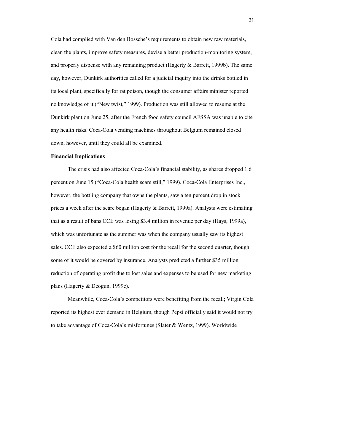Cola had complied with Van den Bossche's requirements to obtain new raw materials, clean the plants, improve safety measures, devise a better production-monitoring system, and properly dispense with any remaining product (Hagerty & Barrett, 1999b). The same day, however, Dunkirk authorities called for a judicial inquiry into the drinks bottled in its local plant, specifically for rat poison, though the consumer affairs minister reported no knowledge of it ("New twist," 1999). Production was still allowed to resume at the Dunkirk plant on June 25, after the French food safety council AFSSA was unable to cite any health risks. Coca-Cola vending machines throughout Belgium remained closed down, however, until they could all be examined.

## **Financial Implications**

The crisis had also affected Coca-Cola's financial stability, as shares dropped 1.6 percent on June 15 ("Coca-Cola health scare still," 1999). Coca-Cola Enterprises Inc., however, the bottling company that owns the plants, saw a ten percent drop in stock prices a week after the scare began (Hagerty & Barrett, 1999a). Analysts were estimating that as a result of bans CCE was losing \$3.4 million in revenue per day (Hays, 1999a), which was unfortunate as the summer was when the company usually saw its highest sales. CCE also expected a \$60 million cost for the recall for the second quarter, though some of it would be covered by insurance. Analysts predicted a further \$35 million reduction of operating profit due to lost sales and expenses to be used for new marketing plans (Hagerty & Deogun, 1999c).

Meanwhile, Coca-Cola's competitors were benefiting from the recall; Virgin Cola reported its highest ever demand in Belgium, though Pepsi officially said it would not try to take advantage of Coca-Cola's misfortunes (Slater & Wentz, 1999). Worldwide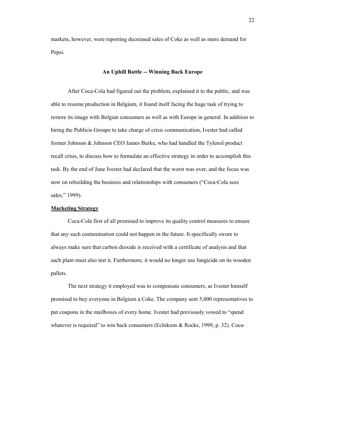markets, however, were reporting decreased sales of Coke as well as more demand for Pepsi.

# **An Uphill Battle -- Winning Back Europe**

After Coca-Cola had figured out the problem, explained it to the public, and was able to resume production in Belgium, it found itself facing the huge task of trying to restore its image with Belgian consumers as well as with Europe in general. In addition to hiring the Publicis Groupe to take charge of crisis communication, Ivester had called former Johnson & Johnson CEO James Burke, who had handled the Tylenol product recall crisis, to discuss how to formulate an effective strategy in order to accomplish this task. By the end of June Ivester had declared that the worst was over, and the focus was now on rebuilding the business and relationships with consumers ("Coca-Cola sees sales," 1999).

## **Marketing Strategy**

Coca-Cola first of all promised to improve its quality control measures to ensure that any such contamination could not happen in the future. It specifically swore to always make sure that carbon dioxide is received with a certificate of analysis and that each plant must also test it. Furthermore, it would no longer use fungicide on its wooden pallets.

The next strategy it employed was to compensate consumers, as Ivester himself promised to buy everyone in Belgium a Coke. The company sent 5,000 representatives to put coupons in the mailboxes of every home. Ivester had previously vowed to "spend whatever is required" to win back consumers (Echikson & Rocks, 1999, p. 32). Coca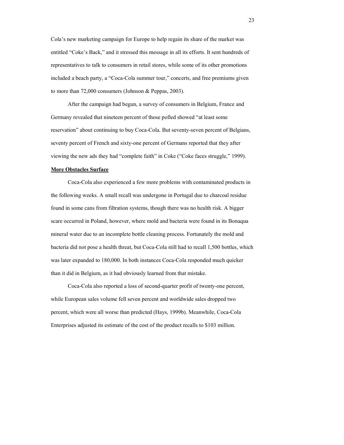Cola's new marketing campaign for Europe to help regain its share of the market was entitled "Coke's Back," and it stressed this message in all its efforts. It sent hundreds of representatives to talk to consumers in retail stores, while some of its other promotions included a beach party, a "Coca-Cola summer tour," concerts, and free premiums given to more than 72,000 consumers (Johnson & Peppas, 2003).

After the campaign had begun, a survey of consumers in Belgium, France and Germany revealed that nineteen percent of those polled showed "at least some reservation" about continuing to buy Coca-Cola. But seventy-seven percent of Belgians, seventy percent of French and sixty-one percent of Germans reported that they after viewing the new ads they had "complete faith" in Coke ("Coke faces struggle," 1999).

#### **More Obstacles Surface**

Coca-Cola also experienced a few more problems with contaminated products in the following weeks. A small recall was undergone in Portugal due to charcoal residue found in some cans from filtration systems, though there was no health risk. A bigger scare occurred in Poland, however, where mold and bacteria were found in its Bonaqua mineral water due to an incomplete bottle cleaning process. Fortunately the mold and bacteria did not pose a health threat, but Coca-Cola still had to recall 1,500 bottles, which was later expanded to 180,000. In both instances Coca-Cola responded much quicker than it did in Belgium, as it had obviously learned from that mistake.

 Coca-Cola also reported a loss of second-quarter profit of twenty-one percent, while European sales volume fell seven percent and worldwide sales dropped two percent, which were all worse than predicted (Hays, 1999b). Meanwhile, Coca-Cola Enterprises adjusted its estimate of the cost of the product recalls to \$103 million.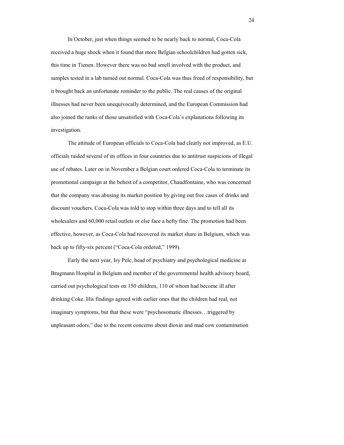In October, just when things seemed to be nearly back to normal, Coca-Cola received a huge shock when it found that more Belgian schoolchildren had gotten sick, this time in Tienen. However there was no bad smell involved with the product, and samples tested in a lab turned out normal. Coca-Cola was thus freed of responsibility, but it brought back an unfortunate reminder to the public. The real causes of the original illnesses had never been unequivocally determined, and the European Commission had also joined the ranks of those unsatisfied with Coca-Cola's explanations following its investigation.

The attitude of European officials to Coca-Cola had clearly not improved, as E.U. officials raided several of its offices in four countries due to antitrust suspicions of illegal use of rebates. Later on in November a Belgian court ordered Coca-Cola to terminate its promotional campaign at the behest of a competitor, Chaudfontaine, who was concerned that the company was abusing its market position by giving out free cases of drinks and discount vouchers. Coca-Cola was told to stop within three days and to tell all its wholesalers and 60,000 retail outlets or else face a hefty fine. The promotion had been effective, however, as Coca-Cola had recovered its market share in Belgium, which was back up to fifty-six percent ("Coca-Cola ordered," 1999).

Early the next year, Isy Pelc, head of psychiatry and psychological medicine at Brugmann Hospital in Belgium and member of the governmental health advisory board, carried out psychological tests on 150 children, 110 of whom had become ill after drinking Coke. His findings agreed with earlier ones that the children had real, not imaginary symptoms, but that these were "psychosomatic illnesses…triggered by unpleasant odors," due to the recent concerns about dioxin and mad cow contamination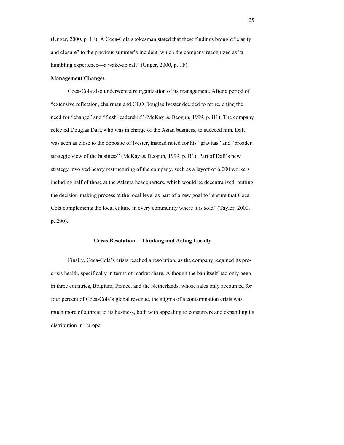(Unger, 2000, p. 1F). A Coca-Cola spokesman stated that these findings brought "clarity and closure" to the previous summer's incident, which the company recognized as "a humbling experience—a wake-up call" (Unger, 2000, p. 1F).

#### **Management Changes**

Coca-Cola also underwent a reorganization of its management. After a period of "extensive reflection, chairman and CEO Douglas Ivester decided to retire, citing the need for "change" and "fresh leadership" (McKay & Deogun, 1999, p. B1). The company selected Douglas Daft, who was in charge of the Asian business, to succeed him. Daft was seen as close to the opposite of Ivester, instead noted for his "gravitas" and "broader strategic view of the business" (McKay & Deogun, 1999, p. B1). Part of Daft's new strategy involved heavy restructuring of the company, such as a layoff of 6,000 workers including half of those at the Atlanta headquarters, which would be decentralized, putting the decision-making process at the local level as part of a new goal to "ensure that Coca-Cola complements the local culture in every community where it is sold" (Taylor, 2000, p. 290).

# **Crisis Resolution -- Thinking and Acting Locally**

Finally, Coca-Cola's crisis reached a resolution, as the company regained its precrisis health, specifically in terms of market share. Although the ban itself had only been in three countries, Belgium, France, and the Netherlands, whose sales only accounted for four percent of Coca-Cola's global revenue, the stigma of a contamination crisis was much more of a threat to its business, both with appealing to consumers and expanding its distribution in Europe.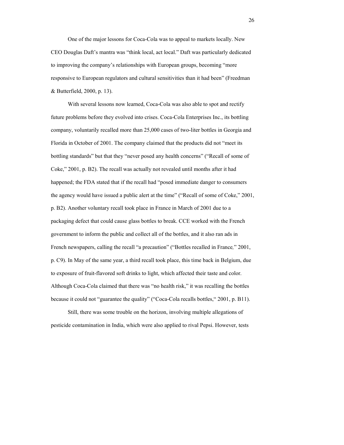One of the major lessons for Coca-Cola was to appeal to markets locally. New CEO Douglas Daft's mantra was "think local, act local." Daft was particularly dedicated to improving the company's relationships with European groups, becoming "more responsive to European regulators and cultural sensitivities than it had been" (Freedman & Butterfield, 2000, p. 13).

With several lessons now learned, Coca-Cola was also able to spot and rectify future problems before they evolved into crises. Coca-Cola Enterprises Inc., its bottling company, voluntarily recalled more than 25,000 cases of two-liter bottles in Georgia and Florida in October of 2001. The company claimed that the products did not "meet its bottling standards" but that they "never posed any health concerns" ("Recall of some of Coke," 2001, p. B2). The recall was actually not revealed until months after it had happened; the FDA stated that if the recall had "posed immediate danger to consumers the agency would have issued a public alert at the time" ("Recall of some of Coke," 2001, p. B2). Another voluntary recall took place in France in March of 2001 due to a packaging defect that could cause glass bottles to break. CCE worked with the French government to inform the public and collect all of the bottles, and it also ran ads in French newspapers, calling the recall "a precaution" ("Bottles recalled in France*,*" 2001, p. C9). In May of the same year, a third recall took place, this time back in Belgium, due to exposure of fruit-flavored soft drinks to light, which affected their taste and color. Although Coca-Cola claimed that there was "no health risk," it was recalling the bottles because it could not "guarantee the quality" ("Coca-Cola recalls bottles," 2001, p. B11).

Still, there was some trouble on the horizon, involving multiple allegations of pesticide contamination in India, which were also applied to rival Pepsi. However, tests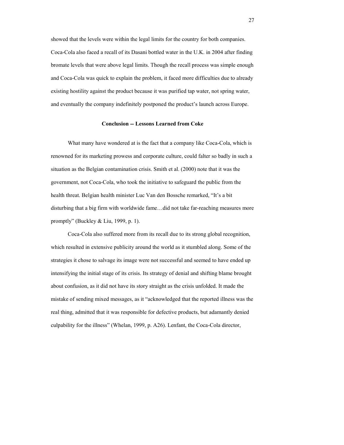showed that the levels were within the legal limits for the country for both companies. Coca-Cola also faced a recall of its Dasani bottled water in the U.K. in 2004 after finding bromate levels that were above legal limits. Though the recall process was simple enough and Coca-Cola was quick to explain the problem, it faced more difficulties due to already existing hostility against the product because it was purified tap water, not spring water, and eventually the company indefinitely postponed the product's launch across Europe.

# **Conclusion -- Lessons Learned from Coke**

What many have wondered at is the fact that a company like Coca-Cola, which is renowned for its marketing prowess and corporate culture, could falter so badly in such a situation as the Belgian contamination crisis. Smith et al. (2000) note that it was the government, not Coca-Cola, who took the initiative to safeguard the public from the health threat. Belgian health minister Luc Van den Bossche remarked, "It's a bit disturbing that a big firm with worldwide fame…did not take far-reaching measures more promptly" (Buckley & Liu, 1999, p. 1).

Coca-Cola also suffered more from its recall due to its strong global recognition, which resulted in extensive publicity around the world as it stumbled along. Some of the strategies it chose to salvage its image were not successful and seemed to have ended up intensifying the initial stage of its crisis. Its strategy of denial and shifting blame brought about confusion, as it did not have its story straight as the crisis unfolded. It made the mistake of sending mixed messages, as it "acknowledged that the reported illness was the real thing, admitted that it was responsible for defective products, but adamantly denied culpability for the illness" (Whelan, 1999, p. A26). Lenfant, the Coca-Cola director,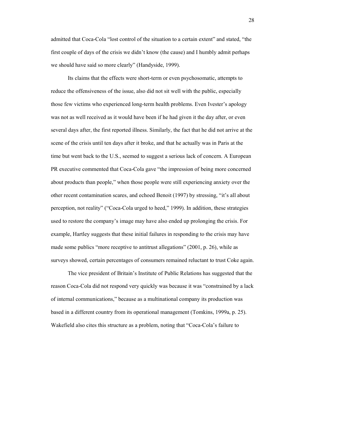admitted that Coca-Cola "lost control of the situation to a certain extent" and stated, "the first couple of days of the crisis we didn't know (the cause) and I humbly admit perhaps we should have said so more clearly" (Handyside, 1999).

Its claims that the effects were short-term or even psychosomatic, attempts to reduce the offensiveness of the issue, also did not sit well with the public, especially those few victims who experienced long-term health problems. Even Ivester's apology was not as well received as it would have been if he had given it the day after, or even several days after, the first reported illness. Similarly, the fact that he did not arrive at the scene of the crisis until ten days after it broke, and that he actually was in Paris at the time but went back to the U.S., seemed to suggest a serious lack of concern. A European PR executive commented that Coca-Cola gave "the impression of being more concerned about products than people," when those people were still experiencing anxiety over the other recent contamination scares, and echoed Benoit (1997) by stressing, "it's all about perception, not reality" ("Coca-Cola urged to heed," 1999). In addition, these strategies used to restore the company's image may have also ended up prolonging the crisis. For example, Hartley suggests that these initial failures in responding to the crisis may have made some publics "more receptive to antitrust allegations" (2001, p. 26), while as surveys showed, certain percentages of consumers remained reluctant to trust Coke again.

The vice president of Britain's Institute of Public Relations has suggested that the reason Coca-Cola did not respond very quickly was because it was "constrained by a lack of internal communications," because as a multinational company its production was based in a different country from its operational management (Tomkins, 1999a, p. 25). Wakefield also cites this structure as a problem, noting that "Coca-Cola's failure to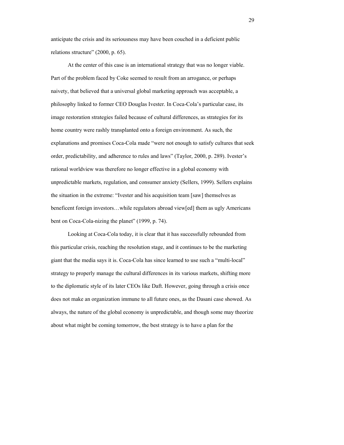anticipate the crisis and its seriousness may have been couched in a deficient public relations structure" (2000, p. 65).

At the center of this case is an international strategy that was no longer viable. Part of the problem faced by Coke seemed to result from an arrogance, or perhaps naivety, that believed that a universal global marketing approach was acceptable, a philosophy linked to former CEO Douglas Ivester. In Coca-Cola's particular case, its image restoration strategies failed because of cultural differences, as strategies for its home country were rashly transplanted onto a foreign environment. As such, the explanations and promises Coca-Cola made "were not enough to satisfy cultures that seek order, predictability, and adherence to rules and laws" (Taylor, 2000, p. 289). Ivester's rational worldview was therefore no longer effective in a global economy with unpredictable markets, regulation, and consumer anxiety (Sellers, 1999). Sellers explains the situation in the extreme: "Ivester and his acquisition team [saw] themselves as beneficent foreign investors…while regulators abroad view[ed] them as ugly Americans bent on Coca-Cola-nizing the planet" (1999, p. 74).

Looking at Coca-Cola today, it is clear that it has successfully rebounded from this particular crisis, reaching the resolution stage, and it continues to be the marketing giant that the media says it is. Coca-Cola has since learned to use such a "multi-local" strategy to properly manage the cultural differences in its various markets, shifting more to the diplomatic style of its later CEOs like Daft. However, going through a crisis once does not make an organization immune to all future ones, as the Dasani case showed. As always, the nature of the global economy is unpredictable, and though some may theorize about what might be coming tomorrow, the best strategy is to have a plan for the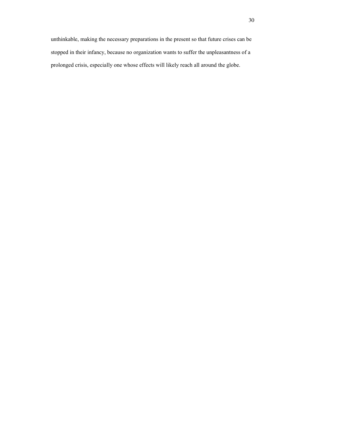unthinkable, making the necessary preparations in the present so that future crises can be stopped in their infancy, because no organization wants to suffer the unpleasantness of a prolonged crisis, especially one whose effects will likely reach all around the globe.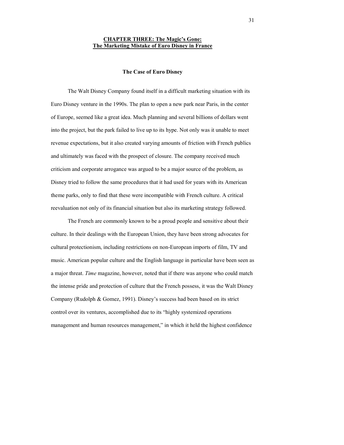# **CHAPTER THREE: The Magic's Gone: The Marketing Mistake of Euro Disney in France**

#### **The Case of Euro Disney**

The Walt Disney Company found itself in a difficult marketing situation with its Euro Disney venture in the 1990s. The plan to open a new park near Paris, in the center of Europe, seemed like a great idea. Much planning and several billions of dollars went into the project, but the park failed to live up to its hype. Not only was it unable to meet revenue expectations, but it also created varying amounts of friction with French publics and ultimately was faced with the prospect of closure. The company received much criticism and corporate arrogance was argued to be a major source of the problem, as Disney tried to follow the same procedures that it had used for years with its American theme parks, only to find that these were incompatible with French culture. A critical reevaluation not only of its financial situation but also its marketing strategy followed.

 The French are commonly known to be a proud people and sensitive about their culture. In their dealings with the European Union, they have been strong advocates for cultural protectionism, including restrictions on non-European imports of film, TV and music. American popular culture and the English language in particular have been seen as a major threat. *Time* magazine, however, noted that if there was anyone who could match the intense pride and protection of culture that the French possess, it was the Walt Disney Company (Rudolph & Gomez, 1991). Disney's success had been based on its strict control over its ventures, accomplished due to its "highly systemized operations management and human resources management," in which it held the highest confidence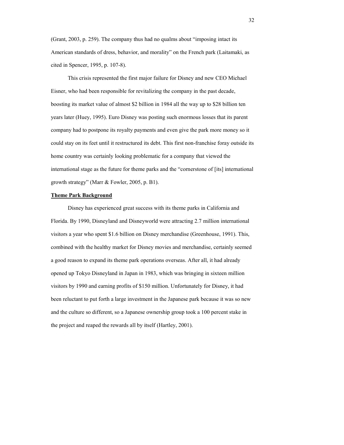(Grant, 2003, p. 259). The company thus had no qualms about "imposing intact its American standards of dress, behavior, and morality" on the French park (Laitamaki, as cited in Spencer, 1995, p. 107-8).

This crisis represented the first major failure for Disney and new CEO Michael Eisner, who had been responsible for revitalizing the company in the past decade, boosting its market value of almost \$2 billion in 1984 all the way up to \$28 billion ten years later (Huey, 1995). Euro Disney was posting such enormous losses that its parent company had to postpone its royalty payments and even give the park more money so it could stay on its feet until it restructured its debt. This first non-franchise foray outside its home country was certainly looking problematic for a company that viewed the international stage as the future for theme parks and the "cornerstone of [its] international growth strategy" (Marr & Fowler, 2005, p. B1).

## **Theme Park Background**

Disney has experienced great success with its theme parks in California and Florida. By 1990, Disneyland and Disneyworld were attracting 2.7 million international visitors a year who spent \$1.6 billion on Disney merchandise (Greenhouse, 1991). This, combined with the healthy market for Disney movies and merchandise, certainly seemed a good reason to expand its theme park operations overseas. After all, it had already opened up Tokyo Disneyland in Japan in 1983, which was bringing in sixteen million visitors by 1990 and earning profits of \$150 million. Unfortunately for Disney, it had been reluctant to put forth a large investment in the Japanese park because it was so new and the culture so different, so a Japanese ownership group took a 100 percent stake in the project and reaped the rewards all by itself (Hartley, 2001).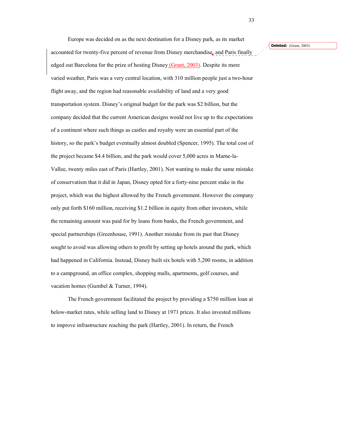Europe was decided on as the next destination for a Disney park, as its market accounted for twenty-five percent of revenue from Disney merchandise, and Paris finally edged out Barcelona for the prize of hosting Disney (Grant, 2003). Despite its more varied weather, Paris was a very central location, with 310 million people just a two-hour flight away, and the region had reasonable availability of land and a very good transportation system. Disney's original budget for the park was \$2 billion, but the company decided that the current American designs would not live up to the expectations of a continent where such things as castles and royalty were an essential part of the history, so the park's budget eventually almost doubled (Spencer, 1995). The total cost of the project became \$4.4 billion, and the park would cover 5,000 acres in Marne-la-Vallee, twenty miles east of Paris (Hartley, 2001). Not wanting to make the same mistake of conservatism that it did in Japan, Disney opted for a forty-nine percent stake in the project, which was the highest allowed by the French government. However the company only put forth \$160 million, receiving \$1.2 billion in equity from other investors, while the remaining amount was paid for by loans from banks, the French government, and special partnerships (Greenhouse, 1991). Another mistake from its past that Disney sought to avoid was allowing others to profit by setting up hotels around the park, which had happened in California. Instead, Disney built six hotels with 5,200 rooms, in addition to a campground, an office complex, shopping malls, apartments, golf courses, and vacation homes (Gumbel & Turner, 1994).

 The French government facilitated the project by providing a \$750 million loan at below-market rates, while selling land to Disney at 1971 prices. It also invested millions to improve infrastructure reaching the park (Hartley, 2001). In return, the French

#### **Deleted:** (Grant, 2003)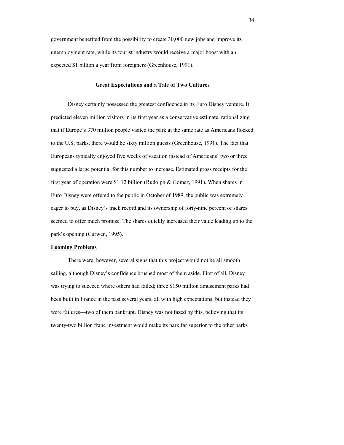government benefited from the possibility to create 30,000 new jobs and improve its unemployment rate, while its tourist industry would receive a major boost with an expected \$1 billion a year from foreigners (Greenhouse, 1991).

### **Great Expectations and a Tale of Two Cultures**

Disney certainly possessed the greatest confidence in its Euro Disney venture. It predicted eleven million visitors in its first year as a conservative estimate, rationalizing that if Europe's 370 million people visited the park at the same rate as Americans flocked to the U.S. parks, there would be sixty million guests (Greenhouse, 1991). The fact that Europeans typically enjoyed five weeks of vacation instead of Americans' two or three suggested a large potential for this number to increase. Estimated gross receipts for the first year of operation were \$1.12 billion (Rudolph & Gomez, 1991). When shares in Euro Disney were offered to the public in October of 1989, the public was extremely eager to buy, as Disney's track record and its ownership of forty-nine percent of shares seemed to offer much promise. The shares quickly increased their value leading up to the park's opening (Curwen, 1995).

#### **Looming Problems**

There were, however, several signs that this project would not be all smooth sailing, although Disney's confidence brushed most of them aside. First of all, Disney was trying to succeed where others had failed; three \$150 million amusement parks had been built in France in the past several years, all with high expectations, but instead they were failures—two of them bankrupt. Disney was not fazed by this, believing that its twenty-two billion franc investment would make its park far superior to the other parks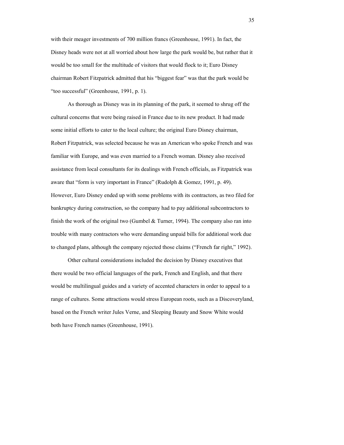with their meager investments of 700 million francs (Greenhouse, 1991). In fact, the Disney heads were not at all worried about how large the park would be, but rather that it would be too small for the multitude of visitors that would flock to it; Euro Disney chairman Robert Fitzpatrick admitted that his "biggest fear" was that the park would be "too successful" (Greenhouse, 1991, p. 1).

 As thorough as Disney was in its planning of the park, it seemed to shrug off the cultural concerns that were being raised in France due to its new product. It had made some initial efforts to cater to the local culture; the original Euro Disney chairman, Robert Fitzpatrick, was selected because he was an American who spoke French and was familiar with Europe, and was even married to a French woman. Disney also received assistance from local consultants for its dealings with French officials, as Fitzpatrick was aware that "form is very important in France" (Rudolph & Gomez, 1991, p. 49). However, Euro Disney ended up with some problems with its contractors, as two filed for bankruptcy during construction, so the company had to pay additional subcontractors to finish the work of the original two (Gumbel & Turner, 1994). The company also ran into trouble with many contractors who were demanding unpaid bills for additional work due to changed plans, although the company rejected those claims ("French far right," 1992).

Other cultural considerations included the decision by Disney executives that there would be two official languages of the park, French and English, and that there would be multilingual guides and a variety of accented characters in order to appeal to a range of cultures. Some attractions would stress European roots, such as a Discoveryland, based on the French writer Jules Verne, and Sleeping Beauty and Snow White would both have French names (Greenhouse, 1991).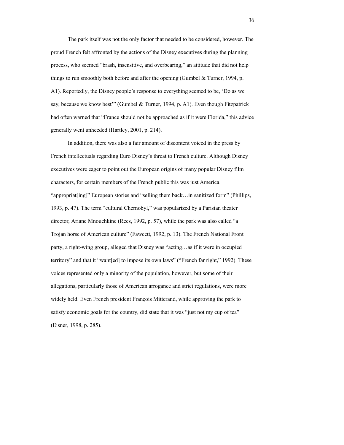The park itself was not the only factor that needed to be considered, however. The proud French felt affronted by the actions of the Disney executives during the planning process, who seemed "brash, insensitive, and overbearing," an attitude that did not help things to run smoothly both before and after the opening (Gumbel  $&$  Turner, 1994, p. A1). Reportedly, the Disney people's response to everything seemed to be, 'Do as we say, because we know best'" (Gumbel & Turner, 1994, p. A1). Even though Fitzpatrick had often warned that "France should not be approached as if it were Florida," this advice generally went unheeded (Hartley, 2001, p. 214).

In addition, there was also a fair amount of discontent voiced in the press by French intellectuals regarding Euro Disney's threat to French culture. Although Disney executives were eager to point out the European origins of many popular Disney film characters, for certain members of the French public this was just America "appropriat[ing]" European stories and "selling them back…in sanitized form" (Phillips, 1993, p. 47). The term "cultural Chernobyl," was popularized by a Parisian theater director, Ariane Mnouchkine (Rees, 1992, p. 57), while the park was also called "a Trojan horse of American culture" (Fawcett, 1992, p. 13). The French National Front party, a right-wing group, alleged that Disney was "acting…as if it were in occupied territory" and that it "want[ed] to impose its own laws" ("French far right," 1992). These voices represented only a minority of the population, however, but some of their allegations, particularly those of American arrogance and strict regulations, were more widely held. Even French president François Mitterand, while approving the park to satisfy economic goals for the country, did state that it was "just not my cup of tea" (Eisner, 1998, p. 285).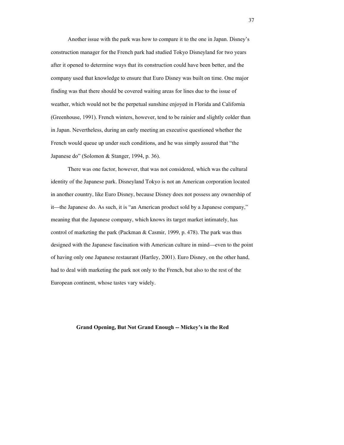Another issue with the park was how to compare it to the one in Japan. Disney's construction manager for the French park had studied Tokyo Disneyland for two years after it opened to determine ways that its construction could have been better, and the company used that knowledge to ensure that Euro Disney was built on time. One major finding was that there should be covered waiting areas for lines due to the issue of weather, which would not be the perpetual sunshine enjoyed in Florida and California (Greenhouse, 1991). French winters, however, tend to be rainier and slightly colder than in Japan. Nevertheless, during an early meeting an executive questioned whether the French would queue up under such conditions, and he was simply assured that "the Japanese do" (Solomon & Stanger, 1994, p. 36).

There was one factor, however, that was not considered, which was the cultural identity of the Japanese park. Disneyland Tokyo is not an American corporation located in another country, like Euro Disney, because Disney does not possess any ownership of it—the Japanese do. As such, it is "an American product sold by a Japanese company," meaning that the Japanese company, which knows its target market intimately, has control of marketing the park (Packman & Casmir, 1999, p. 478). The park was thus designed with the Japanese fascination with American culture in mind—even to the point of having only one Japanese restaurant (Hartley, 2001). Euro Disney, on the other hand, had to deal with marketing the park not only to the French, but also to the rest of the European continent, whose tastes vary widely.

**Grand Opening, But Not Grand Enough -- Mickey's in the Red**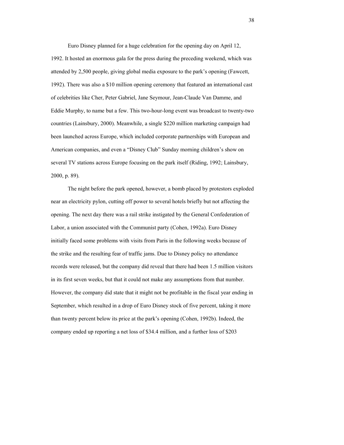Euro Disney planned for a huge celebration for the opening day on April 12, 1992. It hosted an enormous gala for the press during the preceding weekend, which was attended by 2,500 people, giving global media exposure to the park's opening (Fawcett, 1992). There was also a \$10 million opening ceremony that featured an international cast of celebrities like Cher, Peter Gabriel, Jane Seymour, Jean-Claude Van Damme, and Eddie Murphy, to name but a few. This two-hour-long event was broadcast to twenty-two countries (Lainsbury, 2000). Meanwhile, a single \$220 million marketing campaign had been launched across Europe, which included corporate partnerships with European and American companies, and even a "Disney Club" Sunday morning children's show on several TV stations across Europe focusing on the park itself (Riding, 1992; Lainsbury, 2000, p. 89).

The night before the park opened, however, a bomb placed by protestors exploded near an electricity pylon, cutting off power to several hotels briefly but not affecting the opening. The next day there was a rail strike instigated by the General Confederation of Labor, a union associated with the Communist party (Cohen, 1992a). Euro Disney initially faced some problems with visits from Paris in the following weeks because of the strike and the resulting fear of traffic jams. Due to Disney policy no attendance records were released, but the company did reveal that there had been 1.5 million visitors in its first seven weeks, but that it could not make any assumptions from that number. However, the company did state that it might not be profitable in the fiscal year ending in September, which resulted in a drop of Euro Disney stock of five percent, taking it more than twenty percent below its price at the park's opening (Cohen, 1992b). Indeed, the company ended up reporting a net loss of \$34.4 million, and a further loss of \$203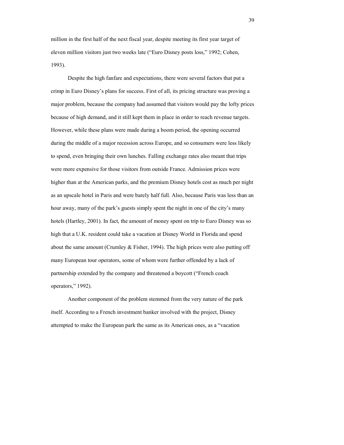million in the first half of the next fiscal year, despite meeting its first year target of eleven million visitors just two weeks late ("Euro Disney posts loss," 1992; Cohen, 1993).

Despite the high fanfare and expectations, there were several factors that put a crimp in Euro Disney's plans for success. First of all, its pricing structure was proving a major problem, because the company had assumed that visitors would pay the lofty prices because of high demand, and it still kept them in place in order to reach revenue targets. However, while these plans were made during a boom period, the opening occurred during the middle of a major recession across Europe, and so consumers were less likely to spend, even bringing their own lunches. Falling exchange rates also meant that trips were more expensive for those visitors from outside France. Admission prices were higher than at the American parks, and the premium Disney hotels cost as much per night as an upscale hotel in Paris and were barely half full. Also, because Paris was less than an hour away, many of the park's guests simply spent the night in one of the city's many hotels (Hartley, 2001). In fact, the amount of money spent on trip to Euro Disney was so high that a U.K. resident could take a vacation at Disney World in Florida and spend about the same amount (Crumley & Fisher, 1994). The high prices were also putting off many European tour operators, some of whom were further offended by a lack of partnership extended by the company and threatened a boycott ("French coach operators," 1992).

Another component of the problem stemmed from the very nature of the park itself. According to a French investment banker involved with the project, Disney attempted to make the European park the same as its American ones, as a "vacation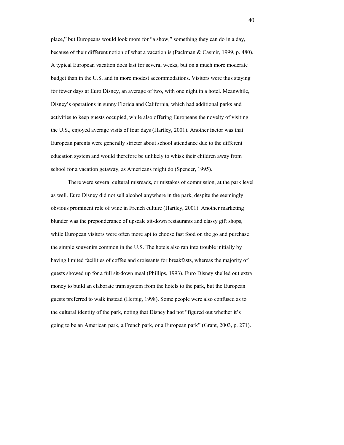place," but Europeans would look more for "a show," something they can do in a day, because of their different notion of what a vacation is (Packman & Casmir, 1999, p. 480). A typical European vacation does last for several weeks, but on a much more moderate budget than in the U.S. and in more modest accommodations. Visitors were thus staying for fewer days at Euro Disney, an average of two, with one night in a hotel. Meanwhile, Disney's operations in sunny Florida and California, which had additional parks and activities to keep guests occupied, while also offering Europeans the novelty of visiting the U.S., enjoyed average visits of four days (Hartley, 2001). Another factor was that European parents were generally stricter about school attendance due to the different education system and would therefore be unlikely to whisk their children away from school for a vacation getaway, as Americans might do (Spencer, 1995).

There were several cultural misreads, or mistakes of commission, at the park level as well. Euro Disney did not sell alcohol anywhere in the park, despite the seemingly obvious prominent role of wine in French culture (Hartley, 2001). Another marketing blunder was the preponderance of upscale sit-down restaurants and classy gift shops, while European visitors were often more apt to choose fast food on the go and purchase the simple souvenirs common in the U.S. The hotels also ran into trouble initially by having limited facilities of coffee and croissants for breakfasts, whereas the majority of guests showed up for a full sit-down meal (Phillips, 1993). Euro Disney shelled out extra money to build an elaborate tram system from the hotels to the park, but the European guests preferred to walk instead (Herbig, 1998). Some people were also confused as to the cultural identity of the park, noting that Disney had not "figured out whether it's going to be an American park, a French park, or a European park" (Grant, 2003, p. 271).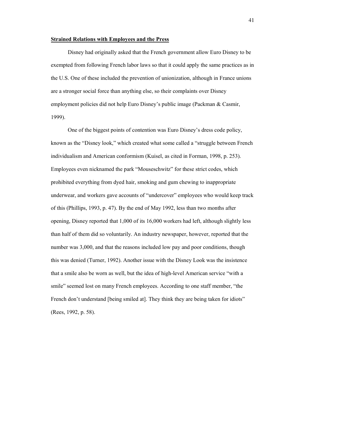#### **Strained Relations with Employees and the Press**

Disney had originally asked that the French government allow Euro Disney to be exempted from following French labor laws so that it could apply the same practices as in the U.S. One of these included the prevention of unionization, although in France unions are a stronger social force than anything else, so their complaints over Disney employment policies did not help Euro Disney's public image (Packman & Casmir, 1999).

One of the biggest points of contention was Euro Disney's dress code policy, known as the "Disney look," which created what some called a "struggle between French individualism and American conformism (Kuisel, as cited in Forman, 1998, p. 253). Employees even nicknamed the park "Mouseschwitz" for these strict codes, which prohibited everything from dyed hair, smoking and gum chewing to inappropriate underwear, and workers gave accounts of "undercover" employees who would keep track of this (Phillips, 1993, p. 47). By the end of May 1992, less than two months after opening, Disney reported that 1,000 of its 16,000 workers had left, although slightly less than half of them did so voluntarily. An industry newspaper, however, reported that the number was 3,000, and that the reasons included low pay and poor conditions, though this was denied (Turner, 1992). Another issue with the Disney Look was the insistence that a smile also be worn as well, but the idea of high-level American service "with a smile" seemed lost on many French employees. According to one staff member, "the French don't understand [being smiled at]. They think they are being taken for idiots" (Rees, 1992, p. 58).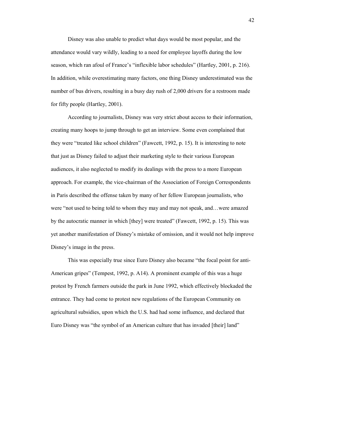Disney was also unable to predict what days would be most popular, and the attendance would vary wildly, leading to a need for employee layoffs during the low season, which ran afoul of France's "inflexible labor schedules" (Hartley, 2001, p. 216). In addition, while overestimating many factors, one thing Disney underestimated was the number of bus drivers, resulting in a busy day rush of 2,000 drivers for a restroom made for fifty people (Hartley, 2001).

According to journalists, Disney was very strict about access to their information, creating many hoops to jump through to get an interview. Some even complained that they were "treated like school children" (Fawcett, 1992, p. 15). It is interesting to note that just as Disney failed to adjust their marketing style to their various European audiences, it also neglected to modify its dealings with the press to a more European approach. For example, the vice-chairman of the Association of Foreign Correspondents in Paris described the offense taken by many of her fellow European journalists, who were "not used to being told to whom they may and may not speak, and…were amazed by the autocratic manner in which [they] were treated" (Fawcett, 1992, p. 15). This was yet another manifestation of Disney's mistake of omission, and it would not help improve Disney's image in the press.

This was especially true since Euro Disney also became "the focal point for anti-American gripes" (Tempest, 1992, p. A14). A prominent example of this was a huge protest by French farmers outside the park in June 1992, which effectively blockaded the entrance. They had come to protest new regulations of the European Community on agricultural subsidies, upon which the U.S. had had some influence, and declared that Euro Disney was "the symbol of an American culture that has invaded [their] land"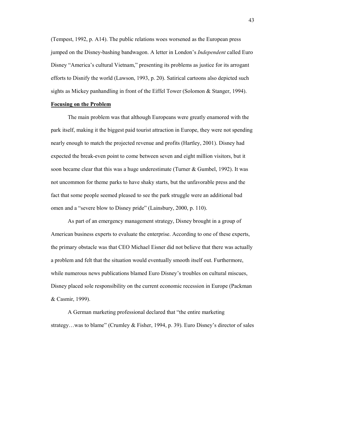(Tempest, 1992, p. A14). The public relations woes worsened as the European press jumped on the Disney-bashing bandwagon. A letter in London's *Independent* called Euro Disney "America's cultural Vietnam," presenting its problems as justice for its arrogant efforts to Disnify the world (Lawson, 1993, p. 20). Satirical cartoons also depicted such sights as Mickey panhandling in front of the Eiffel Tower (Solomon & Stanger, 1994).

### **Focusing on the Problem**

The main problem was that although Europeans were greatly enamored with the park itself, making it the biggest paid tourist attraction in Europe, they were not spending nearly enough to match the projected revenue and profits (Hartley, 2001). Disney had expected the break-even point to come between seven and eight million visitors, but it soon became clear that this was a huge underestimate (Turner & Gumbel, 1992). It was not uncommon for theme parks to have shaky starts, but the unfavorable press and the fact that some people seemed pleased to see the park struggle were an additional bad omen and a "severe blow to Disney pride" (Lainsbury, 2000, p. 110).

As part of an emergency management strategy, Disney brought in a group of American business experts to evaluate the enterprise. According to one of these experts, the primary obstacle was that CEO Michael Eisner did not believe that there was actually a problem and felt that the situation would eventually smooth itself out. Furthermore, while numerous news publications blamed Euro Disney's troubles on cultural miscues, Disney placed sole responsibility on the current economic recession in Europe (Packman & Casmir, 1999).

A German marketing professional declared that "the entire marketing strategy…was to blame" (Crumley & Fisher, 1994, p. 39). Euro Disney's director of sales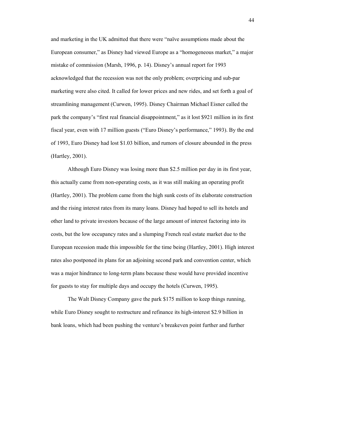and marketing in the UK admitted that there were "naïve assumptions made about the European consumer," as Disney had viewed Europe as a "homogeneous market," a major mistake of commission (Marsh, 1996, p. 14). Disney's annual report for 1993 acknowledged that the recession was not the only problem; overpricing and sub-par marketing were also cited. It called for lower prices and new rides, and set forth a goal of streamlining management (Curwen, 1995). Disney Chairman Michael Eisner called the park the company's "first real financial disappointment," as it lost \$921 million in its first fiscal year, even with 17 million guests ("Euro Disney's performance," 1993). By the end of 1993, Euro Disney had lost \$1.03 billion, and rumors of closure abounded in the press (Hartley, 2001).

Although Euro Disney was losing more than \$2.5 million per day in its first year, this actually came from non-operating costs, as it was still making an operating profit (Hartley, 2001). The problem came from the high sunk costs of its elaborate construction and the rising interest rates from its many loans. Disney had hoped to sell its hotels and other land to private investors because of the large amount of interest factoring into its costs, but the low occupancy rates and a slumping French real estate market due to the European recession made this impossible for the time being (Hartley, 2001). High interest rates also postponed its plans for an adjoining second park and convention center, which was a major hindrance to long-term plans because these would have provided incentive for guests to stay for multiple days and occupy the hotels (Curwen, 1995).

The Walt Disney Company gave the park \$175 million to keep things running, while Euro Disney sought to restructure and refinance its high-interest \$2.9 billion in bank loans, which had been pushing the venture's breakeven point further and further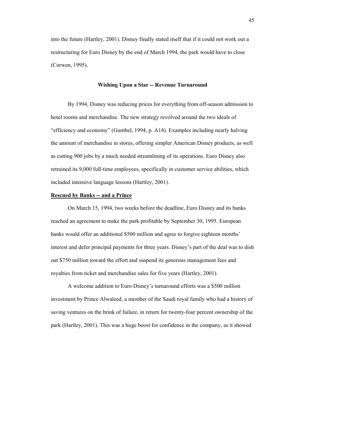into the future (Hartley, 2001). Disney finally stated itself that if it could not work out a restructuring for Euro Disney by the end of March 1994, the park would have to close (Curwen, 1995).

#### **Wishing Upon a Star -- Revenue Turnaround**

By 1994, Disney was reducing prices for everything from off-season admission to hotel rooms and merchandise. The new strategy revolved around the two ideals of "efficiency and economy" (Gumbel, 1994, p. A14). Examples including nearly halving the amount of merchandise in stores, offering simpler American Disney products, as well as cutting 900 jobs by a much needed streamlining of its operations. Euro Disney also retrained its 9,000 full-time employees, specifically in customer service abilities, which included intensive language lessons (Hartley, 2001).

### **Rescued by Banks -- and a Prince**

On March 15, 1994, two weeks before the deadline, Euro Disney and its banks reached an agreement to make the park profitable by September 30, 1995. European banks would offer an additional \$500 million and agree to forgive eighteen months' interest and defer principal payments for three years. Disney's part of the deal was to dish out \$750 million toward the effort and suspend its generous management fees and royalties from ticket and merchandise sales for five years (Hartley, 2001).

A welcome addition to Euro Disney's turnaround efforts was a \$500 million investment by Prince Alwaleed, a member of the Saudi royal family who had a history of saving ventures on the brink of failure, in return for twenty-four percent ownership of the park (Hartley, 2001). This was a huge boost for confidence in the company, as it showed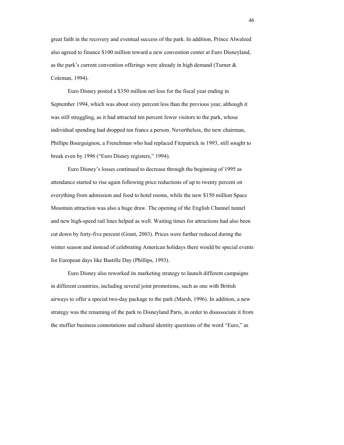great faith in the recovery and eventual success of the park. In addition, Prince Alwaleed also agreed to finance \$100 million toward a new convention center at Euro Disneyland, as the park's current convention offerings were already in high demand (Turner & Coleman, 1994).

Euro Disney posted a \$350 million net loss for the fiscal year ending in September 1994, which was about sixty percent less than the previous year, although it was still struggling, as it had attracted ten percent fewer visitors to the park, whose individual spending had dropped ten francs a person. Nevertheless, the new chairman, Phillipe Bourguignon, a Frenchman who had replaced Fitzpatrick in 1993, still sought to break even by 1996 ("Euro Disney registers," 1994).

Euro Disney's losses continued to decrease through the beginning of 1995 as attendance started to rise again following price reductions of up to twenty percent on everything from admission and food to hotel rooms, while the new \$150 million Space Mountain attraction was also a huge draw. The opening of the English Channel tunnel and new high-speed rail lines helped as well. Waiting times for attractions had also been cut down by forty-five percent (Grant, 2003). Prices were further reduced during the winter season and instead of celebrating American holidays there would be special events for European days like Bastille Day (Phillips, 1993).

Euro Disney also reworked its marketing strategy to launch different campaigns in different countries, including several joint promotions, such as one with British airways to offer a special two-day package to the park (Marsh, 1996). In addition, a new strategy was the renaming of the park to Disneyland Paris, in order to disassociate it from the stuffier business connotations and cultural identity questions of the word "Euro," as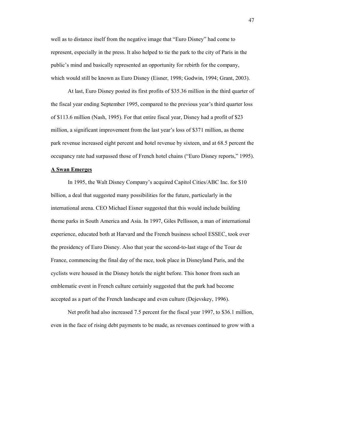well as to distance itself from the negative image that "Euro Disney" had come to represent, especially in the press. It also helped to tie the park to the city of Paris in the public's mind and basically represented an opportunity for rebirth for the company, which would still be known as Euro Disney (Eisner, 1998; Godwin, 1994; Grant, 2003).

At last, Euro Disney posted its first profits of \$35.36 million in the third quarter of the fiscal year ending September 1995, compared to the previous year's third quarter loss of \$113.6 million (Nash, 1995). For that entire fiscal year, Disney had a profit of \$23 million, a significant improvement from the last year's loss of \$371 million, as theme park revenue increased eight percent and hotel revenue by sixteen, and at 68.5 percent the occupancy rate had surpassed those of French hotel chains ("Euro Disney reports," 1995).

#### **A Swan Emerges**

In 1995, the Walt Disney Company's acquired Capitol Cities/ABC Inc. for \$10 billion, a deal that suggested many possibilities for the future, particularly in the international arena. CEO Michael Eisner suggested that this would include building theme parks in South America and Asia. In 1997, Giles Pellisson, a man of international experience, educated both at Harvard and the French business school ESSEC, took over the presidency of Euro Disney. Also that year the second-to-last stage of the Tour de France, commencing the final day of the race, took place in Disneyland Paris, and the cyclists were housed in the Disney hotels the night before. This honor from such an emblematic event in French culture certainly suggested that the park had become accepted as a part of the French landscape and even culture (Dejevskey, 1996).

Net profit had also increased 7.5 percent for the fiscal year 1997, to \$36.1 million, even in the face of rising debt payments to be made, as revenues continued to grow with a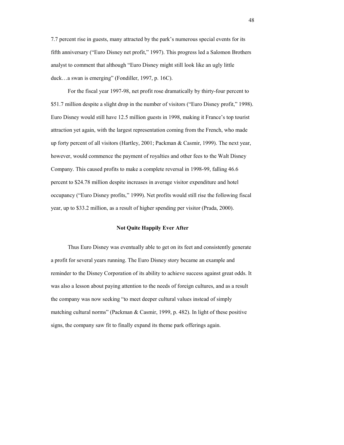7.7 percent rise in guests, many attracted by the park's numerous special events for its fifth anniversary ("Euro Disney net profit," 1997). This progress led a Salomon Brothers analyst to comment that although "Euro Disney might still look like an ugly little duck…a swan is emerging" (Fondiller, 1997, p. 16C).

For the fiscal year 1997-98, net profit rose dramatically by thirty-four percent to \$51.7 million despite a slight drop in the number of visitors ("Euro Disney profit," 1998). Euro Disney would still have 12.5 million guests in 1998, making it France's top tourist attraction yet again, with the largest representation coming from the French, who made up forty percent of all visitors (Hartley, 2001; Packman & Casmir, 1999). The next year, however, would commence the payment of royalties and other fees to the Walt Disney Company. This caused profits to make a complete reversal in 1998-99, falling 46.6 percent to \$24.78 million despite increases in average visitor expenditure and hotel occupancy ("Euro Disney profits," 1999). Net profits would still rise the following fiscal year, up to \$33.2 million, as a result of higher spending per visitor (Prada, 2000).

#### **Not Quite Happily Ever After**

Thus Euro Disney was eventually able to get on its feet and consistently generate a profit for several years running. The Euro Disney story became an example and reminder to the Disney Corporation of its ability to achieve success against great odds. It was also a lesson about paying attention to the needs of foreign cultures, and as a result the company was now seeking "to meet deeper cultural values instead of simply matching cultural norms" (Packman & Casmir, 1999, p. 482). In light of these positive signs, the company saw fit to finally expand its theme park offerings again.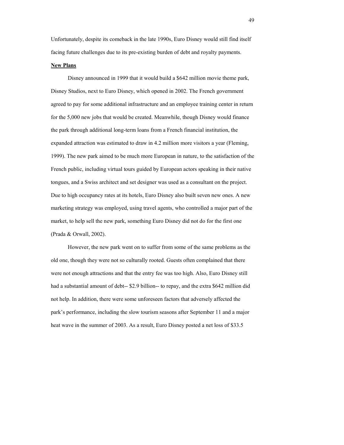Unfortunately, despite its comeback in the late 1990s, Euro Disney would still find itself facing future challenges due to its pre-existing burden of debt and royalty payments.

### **New Plans**

Disney announced in 1999 that it would build a \$642 million movie theme park, Disney Studios, next to Euro Disney, which opened in 2002. The French government agreed to pay for some additional infrastructure and an employee training center in return for the 5,000 new jobs that would be created. Meanwhile, though Disney would finance the park through additional long-term loans from a French financial institution, the expanded attraction was estimated to draw in 4.2 million more visitors a year (Fleming, 1999). The new park aimed to be much more European in nature, to the satisfaction of the French public, including virtual tours guided by European actors speaking in their native tongues, and a Swiss architect and set designer was used as a consultant on the project. Due to high occupancy rates at its hotels, Euro Disney also built seven new ones. A new marketing strategy was employed, using travel agents, who controlled a major part of the market, to help sell the new park, something Euro Disney did not do for the first one (Prada & Orwall, 2002).

However, the new park went on to suffer from some of the same problems as the old one, though they were not so culturally rooted. Guests often complained that there were not enough attractions and that the entry fee was too high. Also, Euro Disney still had a substantial amount of debt-- \$2.9 billion-- to repay, and the extra \$642 million did not help. In addition, there were some unforeseen factors that adversely affected the park's performance, including the slow tourism seasons after September 11 and a major heat wave in the summer of 2003. As a result, Euro Disney posted a net loss of \$33.5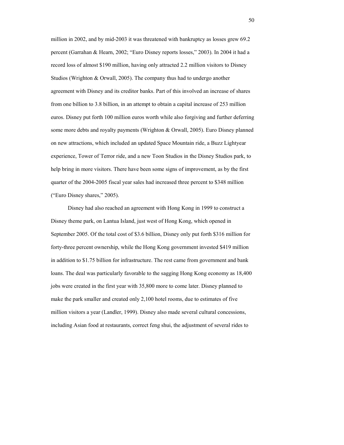million in 2002, and by mid-2003 it was threatened with bankruptcy as losses grew 69.2 percent (Garrahan & Hearn, 2002; "Euro Disney reports losses," 2003). In 2004 it had a record loss of almost \$190 million, having only attracted 2.2 million visitors to Disney Studios (Wrighton & Orwall, 2005). The company thus had to undergo another agreement with Disney and its creditor banks. Part of this involved an increase of shares from one billion to 3.8 billion, in an attempt to obtain a capital increase of 253 million euros. Disney put forth 100 million euros worth while also forgiving and further deferring some more debts and royalty payments (Wrighton & Orwall, 2005). Euro Disney planned on new attractions, which included an updated Space Mountain ride, a Buzz Lightyear experience, Tower of Terror ride, and a new Toon Studios in the Disney Studios park, to help bring in more visitors. There have been some signs of improvement, as by the first quarter of the 2004-2005 fiscal year sales had increased three percent to \$348 million ("Euro Disney shares," 2005).

Disney had also reached an agreement with Hong Kong in 1999 to construct a Disney theme park, on Lantua Island, just west of Hong Kong, which opened in September 2005. Of the total cost of \$3.6 billion, Disney only put forth \$316 million for forty-three percent ownership, while the Hong Kong government invested \$419 million in addition to \$1.75 billion for infrastructure. The rest came from government and bank loans. The deal was particularly favorable to the sagging Hong Kong economy as 18,400 jobs were created in the first year with 35,800 more to come later. Disney planned to make the park smaller and created only 2,100 hotel rooms, due to estimates of five million visitors a year (Landler, 1999). Disney also made several cultural concessions, including Asian food at restaurants, correct feng shui, the adjustment of several rides to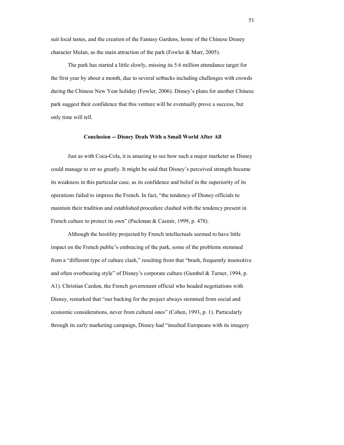suit local tastes, and the creation of the Fantasy Gardens, home of the Chinese Disney character Mulan, as the main attraction of the park (Fowler & Marr, 2005).

The park has started a little slowly, missing its 5.6 million attendance target for the first year by about a month, due to several setbacks including challenges with crowds during the Chinese New Year holiday (Fowler, 2006). Disney's plans for another Chinese park suggest their confidence that this venture will be eventually prove a success, but only time will tell.

### **Conclusion -- Disney Deals With a Small World After All**

Just as with Coca-Cola, it is amazing to see how such a major marketer as Disney could manage to err so greatly. It might be said that Disney's perceived strength became its weakness in this particular case, as its confidence and belief in the superiority of its operations failed to impress the French. In fact, "the tendency of Disney officials to maintain their tradition and established procedure clashed with the tendency present in French culture to protect its own" (Packman & Casmir, 1999, p. 478).

Although the hostility projected by French intellectuals seemed to have little impact on the French public's embracing of the park, some of the problems stemmed from a "different type of culture clash," resulting from that "brash, frequently insensitive and often overbearing style" of Disney's corporate culture (Gumbel & Turner, 1994, p. A1). Christian Cardon, the French government official who headed negotiations with Disney, remarked that "our backing for the project always stemmed from social and economic considerations, never from cultural ones" (Cohen, 1993, p. 1). Particularly through its early marketing campaign, Disney had "insulted Europeans with its imagery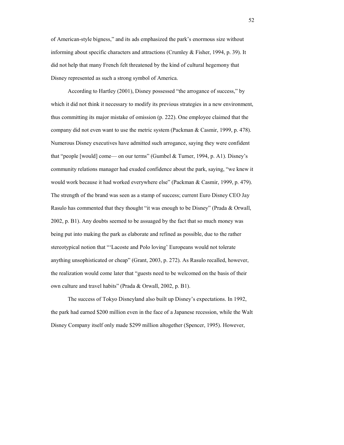of American-style bigness," and its ads emphasized the park's enormous size without informing about specific characters and attractions (Crumley & Fisher, 1994, p. 39). It did not help that many French felt threatened by the kind of cultural hegemony that Disney represented as such a strong symbol of America.

According to Hartley (2001), Disney possessed "the arrogance of success," by which it did not think it necessary to modify its previous strategies in a new environment, thus committing its major mistake of omission (p. 222). One employee claimed that the company did not even want to use the metric system (Packman & Casmir, 1999, p. 478). Numerous Disney executives have admitted such arrogance, saying they were confident that "people [would] come— on our terms" (Gumbel & Turner, 1994, p. A1). Disney's community relations manager had exuded confidence about the park, saying, "we knew it would work because it had worked everywhere else" (Packman & Casmir, 1999, p. 479). The strength of the brand was seen as a stamp of success; current Euro Disney CEO Jay Rasulo has commented that they thought "it was enough to be Disney" (Prada & Orwall, 2002, p. B1). Any doubts seemed to be assuaged by the fact that so much money was being put into making the park as elaborate and refined as possible, due to the rather stereotypical notion that "'Lacoste and Polo loving' Europeans would not tolerate anything unsophisticated or cheap" (Grant, 2003, p. 272). As Rasulo recalled, however, the realization would come later that "guests need to be welcomed on the basis of their own culture and travel habits" (Prada & Orwall, 2002, p. B1).

 The success of Tokyo Disneyland also built up Disney's expectations. In 1992, the park had earned \$200 million even in the face of a Japanese recession, while the Walt Disney Company itself only made \$299 million altogether (Spencer, 1995). However,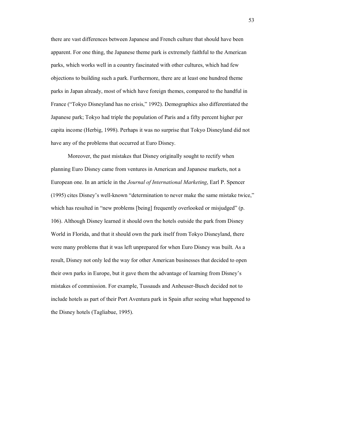there are vast differences between Japanese and French culture that should have been apparent. For one thing, the Japanese theme park is extremely faithful to the American parks, which works well in a country fascinated with other cultures, which had few objections to building such a park. Furthermore, there are at least one hundred theme parks in Japan already, most of which have foreign themes, compared to the handful in France ("Tokyo Disneyland has no crisis," 1992). Demographics also differentiated the Japanese park; Tokyo had triple the population of Paris and a fifty percent higher per capita income (Herbig, 1998). Perhaps it was no surprise that Tokyo Disneyland did not have any of the problems that occurred at Euro Disney.

Moreover, the past mistakes that Disney originally sought to rectify when planning Euro Disney came from ventures in American and Japanese markets, not a European one. In an article in the *Journal of International Marketing*, Earl P. Spencer (1995) cites Disney's well-known "determination to never make the same mistake twice," which has resulted in "new problems [being] frequently overlooked or misjudged" (p. 106). Although Disney learned it should own the hotels outside the park from Disney World in Florida, and that it should own the park itself from Tokyo Disneyland, there were many problems that it was left unprepared for when Euro Disney was built. As a result, Disney not only led the way for other American businesses that decided to open their own parks in Europe, but it gave them the advantage of learning from Disney's mistakes of commission. For example, Tussauds and Anheuser-Busch decided not to include hotels as part of their Port Aventura park in Spain after seeing what happened to the Disney hotels (Tagliabue, 1995).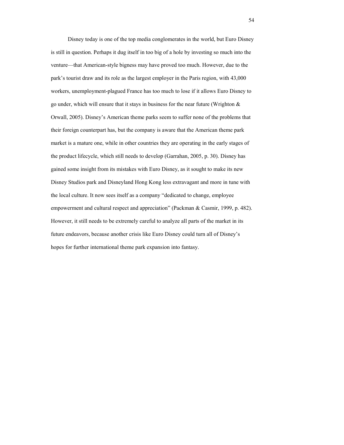Disney today is one of the top media conglomerates in the world, but Euro Disney is still in question. Perhaps it dug itself in too big of a hole by investing so much into the venture—that American-style bigness may have proved too much. However, due to the park's tourist draw and its role as the largest employer in the Paris region, with 43,000 workers, unemployment-plagued France has too much to lose if it allows Euro Disney to go under, which will ensure that it stays in business for the near future (Wrighton & Orwall, 2005). Disney's American theme parks seem to suffer none of the problems that their foreign counterpart has, but the company is aware that the American theme park market is a mature one, while in other countries they are operating in the early stages of the product lifecycle, which still needs to develop (Garrahan, 2005, p. 30). Disney has gained some insight from its mistakes with Euro Disney, as it sought to make its new Disney Studios park and Disneyland Hong Kong less extravagant and more in tune with the local culture. It now sees itself as a company "dedicated to change, employee empowerment and cultural respect and appreciation" (Packman & Casmir, 1999, p. 482). However, it still needs to be extremely careful to analyze all parts of the market in its future endeavors, because another crisis like Euro Disney could turn all of Disney's hopes for further international theme park expansion into fantasy.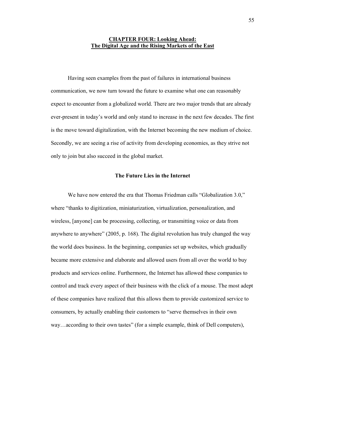### **CHAPTER FOUR: Looking Ahead: The Digital Age and the Rising Markets of the East**

Having seen examples from the past of failures in international business communication, we now turn toward the future to examine what one can reasonably expect to encounter from a globalized world. There are two major trends that are already ever-present in today's world and only stand to increase in the next few decades. The first is the move toward digitalization, with the Internet becoming the new medium of choice. Secondly, we are seeing a rise of activity from developing economies, as they strive not only to join but also succeed in the global market.

### **The Future Lies in the Internet**

We have now entered the era that Thomas Friedman calls "Globalization 3.0," where "thanks to digitization, miniaturization, virtualization, personalization, and wireless, [anyone] can be processing, collecting, or transmitting voice or data from anywhere to anywhere" (2005, p. 168). The digital revolution has truly changed the way the world does business. In the beginning, companies set up websites, which gradually became more extensive and elaborate and allowed users from all over the world to buy products and services online. Furthermore, the Internet has allowed these companies to control and track every aspect of their business with the click of a mouse. The most adept of these companies have realized that this allows them to provide customized service to consumers, by actually enabling their customers to "serve themselves in their own way…according to their own tastes" (for a simple example, think of Dell computers),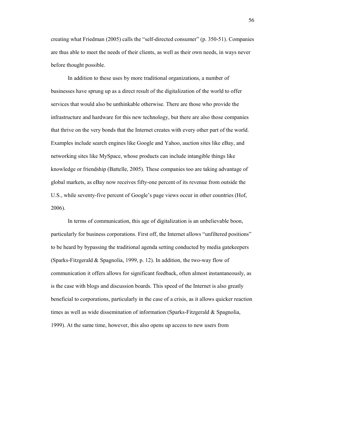creating what Friedman (2005) calls the "self-directed consumer" (p. 350-51). Companies are thus able to meet the needs of their clients, as well as their own needs, in ways never before thought possible.

In addition to these uses by more traditional organizations, a number of businesses have sprung up as a direct result of the digitalization of the world to offer services that would also be unthinkable otherwise. There are those who provide the infrastructure and hardware for this new technology, but there are also those companies that thrive on the very bonds that the Internet creates with every other part of the world. Examples include search engines like Google and Yahoo, auction sites like eBay, and networking sites like MySpace, whose products can include intangible things like knowledge or friendship (Battelle, 2005). These companies too are taking advantage of global markets, as eBay now receives fifty-one percent of its revenue from outside the U.S., while seventy-five percent of Google's page views occur in other countries (Hof, 2006).

In terms of communication, this age of digitalization is an unbelievable boon, particularly for business corporations. First off, the Internet allows "unfiltered positions" to be heard by bypassing the traditional agenda setting conducted by media gatekeepers (Sparks-Fitzgerald & Spagnolia, 1999, p. 12). In addition, the two-way flow of communication it offers allows for significant feedback, often almost instantaneously, as is the case with blogs and discussion boards. This speed of the Internet is also greatly beneficial to corporations, particularly in the case of a crisis, as it allows quicker reaction times as well as wide dissemination of information (Sparks-Fitzgerald & Spagnolia, 1999). At the same time, however, this also opens up access to new users from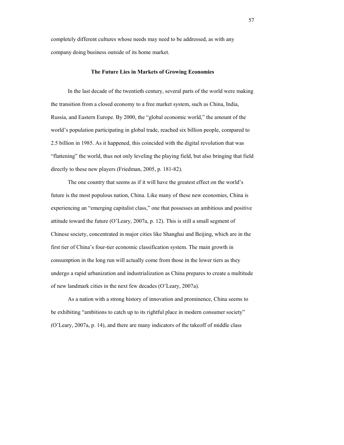completely different cultures whose needs may need to be addressed, as with any company doing business outside of its home market.

### **The Future Lies in Markets of Growing Economies**

In the last decade of the twentieth century, several parts of the world were making the transition from a closed economy to a free market system, such as China, India, Russia, and Eastern Europe. By 2000, the "global economic world," the amount of the world's population participating in global trade, reached six billion people, compared to 2.5 billion in 1985. As it happened, this coincided with the digital revolution that was "flattening" the world, thus not only leveling the playing field, but also bringing that field directly to these new players (Friedman, 2005, p. 181-82).

The one country that seems as if it will have the greatest effect on the world's future is the most populous nation, China. Like many of these new economies, China is experiencing an "emerging capitalist class," one that possesses an ambitious and positive attitude toward the future (O'Leary, 2007a, p. 12). This is still a small segment of Chinese society, concentrated in major cities like Shanghai and Beijing, which are in the first tier of China's four-tier economic classification system. The main growth in consumption in the long run will actually come from those in the lower tiers as they undergo a rapid urbanization and industrialization as China prepares to create a multitude of new landmark cities in the next few decades (O'Leary, 2007a).

As a nation with a strong history of innovation and prominence, China seems to be exhibiting "ambitions to catch up to its rightful place in modern consumer society" (O'Leary, 2007a, p. 14), and there are many indicators of the takeoff of middle class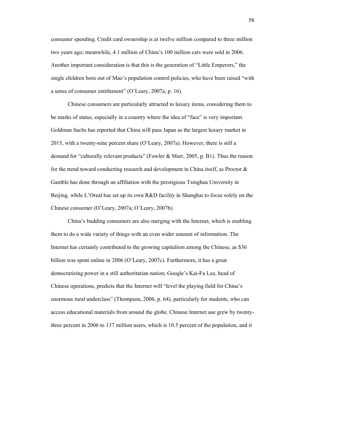consumer spending. Credit card ownership is at twelve million compared to three million two years ago; meanwhile, 4.1 million of China's 100 million cars were sold in 2006. Another important consideration is that this is the generation of "Little Emperors," the single children born out of Mao's population control policies, who have been raised "with a sense of consumer entitlement" (O'Leary, 2007a, p. 16).

Chinese consumers are particularly attracted to luxury items, considering them to be marks of status, especially in a country where the idea of "face" is very important. Goldman Sachs has reported that China will pass Japan as the largest luxury market in 2015, with a twenty-nine percent share (O'Leary, 2007a). However, there is still a demand for "culturally relevant products" (Fowler & Marr, 2005, p. B1). Thus the reason for the trend toward conducting research and development in China itself, as Proctor & Gamble has done through an affiliation with the prestigious Tsinghua University in Beijing, while L'Oreal has set up its own R&D facility in Shanghai to focus solely on the Chinese consumer (O'Leary, 2007a; O'Leary, 2007b).

China's budding consumers are also merging with the Internet, which is enabling them to do a wide variety of things with an even wider amount of information. The Internet has certainly contributed to the growing capitalism among the Chinese, as \$36 billion was spent online in 2006 (O'Leary, 2007c). Furthermore, it has a great democratizing power in a still authoritarian nation; Google's Kai-Fu Lee, head of Chinese operations, predicts that the Internet will "level the playing field for China's enormous rural underclass" (Thompson, 2006, p. 64), particularly for students, who can access educational materials from around the globe. Chinese Internet use grew by twentythree percent in 2006 to 137 million users, which is 10.5 percent of the population, and it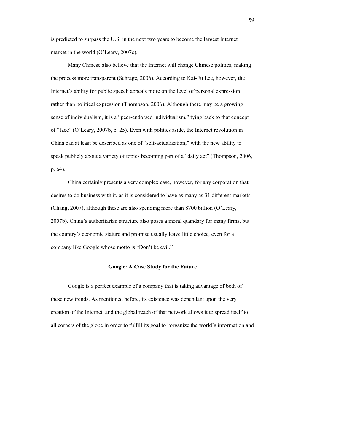is predicted to surpass the U.S. in the next two years to become the largest Internet market in the world (O'Leary, 2007c).

Many Chinese also believe that the Internet will change Chinese politics, making the process more transparent (Schrage, 2006). According to Kai-Fu Lee, however, the Internet's ability for public speech appeals more on the level of personal expression rather than political expression (Thompson, 2006). Although there may be a growing sense of individualism, it is a "peer-endorsed individualism," tying back to that concept of "face" (O'Leary, 2007b, p. 25). Even with politics aside, the Internet revolution in China can at least be described as one of "self-actualization," with the new ability to speak publicly about a variety of topics becoming part of a "daily act" (Thompson, 2006, p. 64).

China certainly presents a very complex case, however, for any corporation that desires to do business with it, as it is considered to have as many as 31 different markets (Chang, 2007), although these are also spending more than \$700 billion (O'Leary, 2007b). China's authoritarian structure also poses a moral quandary for many firms, but the country's economic stature and promise usually leave little choice, even for a company like Google whose motto is "Don't be evil."

### **Google: A Case Study for the Future**

Google is a perfect example of a company that is taking advantage of both of these new trends. As mentioned before, its existence was dependant upon the very creation of the Internet, and the global reach of that network allows it to spread itself to all corners of the globe in order to fulfill its goal to "organize the world's information and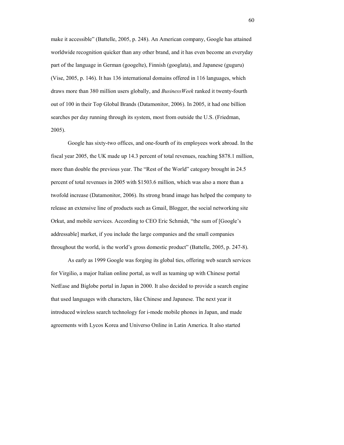make it accessible" (Battelle, 2005, p. 248). An American company, Google has attained worldwide recognition quicker than any other brand, and it has even become an everyday part of the language in German (googelte), Finnish (googlata), and Japanese (guguru) (Vise, 2005, p. 146). It has 136 international domains offered in 116 languages, which draws more than 380 million users globally, and *BusinessWeek* ranked it twenty-fourth out of 100 in their Top Global Brands (Datamonitor, 2006). In 2005, it had one billion searches per day running through its system, most from outside the U.S. (Friedman, 2005).

Google has sixty-two offices, and one-fourth of its employees work abroad. In the fiscal year 2005, the UK made up 14.3 percent of total revenues, reaching \$878.1 million, more than double the previous year. The "Rest of the World" category brought in 24.5 percent of total revenues in 2005 with \$1503.6 million, which was also a more than a twofold increase (Datamonitor, 2006). Its strong brand image has helped the company to release an extensive line of products such as Gmail, Blogger, the social networking site Orkut, and mobile services. According to CEO Eric Schmidt, "the sum of [Google's addressable] market, if you include the large companies and the small companies throughout the world, is the world's gross domestic product" (Battelle, 2005, p. 247-8).

As early as 1999 Google was forging its global ties, offering web search services for Virgilio, a major Italian online portal, as well as teaming up with Chinese portal NetEase and Biglobe portal in Japan in 2000. It also decided to provide a search engine that used languages with characters, like Chinese and Japanese. The next year it introduced wireless search technology for i-mode mobile phones in Japan, and made agreements with Lycos Korea and Universo Online in Latin America. It also started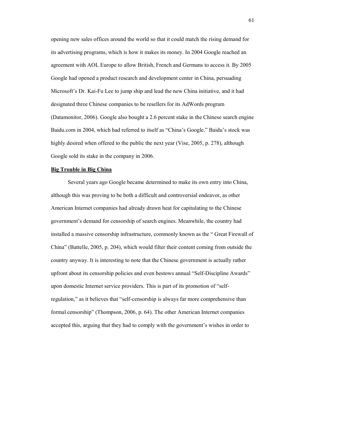opening new sales offices around the world so that it could match the rising demand for its advertising programs, which is how it makes its money. In 2004 Google reached an agreement with AOL Europe to allow British, French and Germans to access it. By 2005 Google had opened a product research and development center in China, persuading Microsoft's Dr. Kai-Fu Lee to jump ship and lead the new China initiative, and it had designated three Chinese companies to be resellers for its AdWords program (Datamonitor, 2006). Google also bought a 2.6 percent stake in the Chinese search engine Baidu.com in 2004, which had referred to itself as "China's Google." Baidu's stock was highly desired when offered to the public the next year (Vise, 2005, p. 278), although Google sold its stake in the company in 2006.

#### **Big Trouble in Big China**

Several years ago Google became determined to make its own entry into China, although this was proving to be both a difficult and controversial endeavor, as other American Internet companies had already drawn heat for capitulating to the Chinese government's demand for censorship of search engines. Meanwhile, the country had installed a massive censorship infrastructure, commonly known as the " Great Firewall of China" (Battelle, 2005, p. 204), which would filter their content coming from outside the country anyway. It is interesting to note that the Chinese government is actually rather upfront about its censorship policies and even bestows annual "Self-Discipline Awards" upon domestic Internet service providers. This is part of its promotion of "selfregulation," as it believes that "self-censorship is always far more comprehensive than formal censorship" (Thompson, 2006, p. 64). The other American Internet companies accepted this, arguing that they had to comply with the government's wishes in order to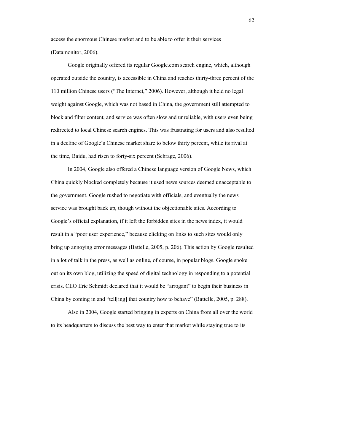access the enormous Chinese market and to be able to offer it their services (Datamonitor, 2006).

Google originally offered its regular Google.com search engine, which, although operated outside the country, is accessible in China and reaches thirty-three percent of the 110 million Chinese users ("The Internet," 2006). However, although it held no legal weight against Google, which was not based in China, the government still attempted to block and filter content, and service was often slow and unreliable, with users even being redirected to local Chinese search engines. This was frustrating for users and also resulted in a decline of Google's Chinese market share to below thirty percent, while its rival at the time, Baidu, had risen to forty-six percent (Schrage, 2006).

In 2004, Google also offered a Chinese language version of Google News, which China quickly blocked completely because it used news sources deemed unacceptable to the government. Google rushed to negotiate with officials, and eventually the news service was brought back up, though without the objectionable sites. According to Google's official explanation, if it left the forbidden sites in the news index, it would result in a "poor user experience," because clicking on links to such sites would only bring up annoying error messages (Battelle, 2005, p. 206). This action by Google resulted in a lot of talk in the press, as well as online, of course, in popular blogs. Google spoke out on its own blog, utilizing the speed of digital technology in responding to a potential crisis. CEO Eric Schmidt declared that it would be "arrogant" to begin their business in China by coming in and "tell[ing] that country how to behave" (Battelle, 2005, p. 288).

Also in 2004, Google started bringing in experts on China from all over the world to its headquarters to discuss the best way to enter that market while staying true to its

62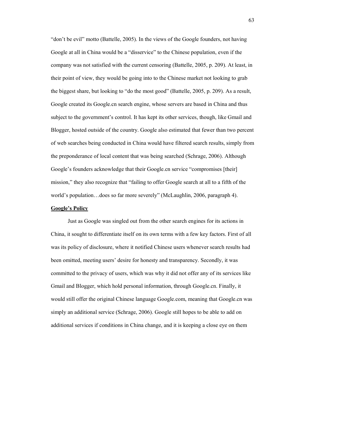"don't be evil" motto (Battelle, 2005). In the views of the Google founders, not having Google at all in China would be a "disservice" to the Chinese population, even if the company was not satisfied with the current censoring (Battelle, 2005, p. 209). At least, in their point of view, they would be going into to the Chinese market not looking to grab the biggest share, but looking to "do the most good" (Battelle, 2005, p. 209). As a result, Google created its Google.cn search engine, whose servers are based in China and thus subject to the government's control. It has kept its other services, though, like Gmail and Blogger, hosted outside of the country. Google also estimated that fewer than two percent of web searches being conducted in China would have filtered search results, simply from the preponderance of local content that was being searched (Schrage, 2006). Although Google's founders acknowledge that their Google.cn service "compromises [their] mission," they also recognize that "failing to offer Google search at all to a fifth of the world's population…does so far more severely" (McLaughlin, 2006, paragraph 4).

### **Google's Policy**

Just as Google was singled out from the other search engines for its actions in China, it sought to differentiate itself on its own terms with a few key factors. First of all was its policy of disclosure, where it notified Chinese users whenever search results had been omitted, meeting users' desire for honesty and transparency. Secondly, it was committed to the privacy of users, which was why it did not offer any of its services like Gmail and Blogger, which hold personal information, through Google.cn. Finally, it would still offer the original Chinese language Google.com, meaning that Google.cn was simply an additional service (Schrage, 2006). Google still hopes to be able to add on additional services if conditions in China change, and it is keeping a close eye on them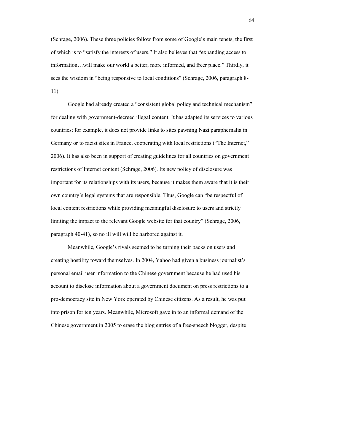(Schrage, 2006). These three policies follow from some of Google's main tenets, the first of which is to "satisfy the interests of users." It also believes that "expanding access to information…will make our world a better, more informed, and freer place." Thirdly, it sees the wisdom in "being responsive to local conditions" (Schrage, 2006, paragraph 8- 11).

Google had already created a "consistent global policy and technical mechanism" for dealing with government-decreed illegal content. It has adapted its services to various countries; for example, it does not provide links to sites pawning Nazi paraphernalia in Germany or to racist sites in France, cooperating with local restrictions ("The Internet," 2006). It has also been in support of creating guidelines for all countries on government restrictions of Internet content (Schrage, 2006). Its new policy of disclosure was important for its relationships with its users, because it makes them aware that it is their own country's legal systems that are responsible. Thus, Google can "be respectful of local content restrictions while providing meaningful disclosure to users and strictly limiting the impact to the relevant Google website for that country" (Schrage, 2006, paragraph 40-41), so no ill will will be harbored against it.

Meanwhile, Google's rivals seemed to be turning their backs on users and creating hostility toward themselves. In 2004, Yahoo had given a business journalist's personal email user information to the Chinese government because he had used his account to disclose information about a government document on press restrictions to a pro-democracy site in New York operated by Chinese citizens. As a result, he was put into prison for ten years. Meanwhile, Microsoft gave in to an informal demand of the Chinese government in 2005 to erase the blog entries of a free-speech blogger, despite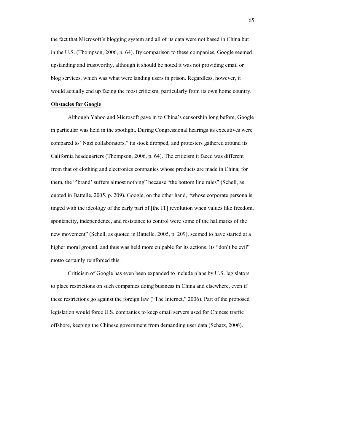the fact that Microsoft's blogging system and all of its data were not based in China but in the U.S. (Thompson, 2006, p. 64). By comparison to these companies, Google seemed upstanding and trustworthy, although it should be noted it was not providing email or blog services, which was what were landing users in prison. Regardless, however, it would actually end up facing the most criticism, particularly from its own home country.

# **Obstacles for Google**

Although Yahoo and Microsoft gave in to China's censorship long before, Google in particular was held in the spotlight. During Congressional hearings its executives were compared to "Nazi collaborators," its stock dropped, and protesters gathered around its California headquarters (Thompson, 2006, p. 64). The criticism it faced was different from that of clothing and electronics companies whose products are made in China; for them, the "'brand' suffers almost nothing" because "the bottom line rules" (Schell, as quoted in Battelle, 2005, p. 209). Google, on the other hand, "whose corporate persona is tinged with the ideology of the early part of [the IT] revolution when values like freedom, spontaneity, independence, and resistance to control were some of the hallmarks of the new movement" (Schell, as quoted in Battelle, 2005, p. 209), seemed to have started at a higher moral ground, and thus was held more culpable for its actions. Its "don't be evil" motto certainly reinforced this.

Criticism of Google has even been expanded to include plans by U.S. legislators to place restrictions on such companies doing business in China and elsewhere, even if these restrictions go against the foreign law ("The Internet," 2006). Part of the proposed legislation would force U.S. companies to keep email servers used for Chinese traffic offshore, keeping the Chinese government from demanding user data (Schatz, 2006).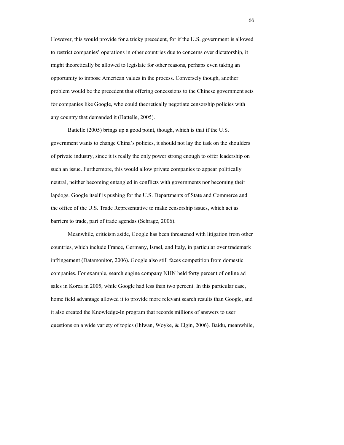However, this would provide for a tricky precedent, for if the U.S. government is allowed to restrict companies' operations in other countries due to concerns over dictatorship, it might theoretically be allowed to legislate for other reasons, perhaps even taking an opportunity to impose American values in the process. Conversely though, another problem would be the precedent that offering concessions to the Chinese government sets for companies like Google, who could theoretically negotiate censorship policies with any country that demanded it (Battelle, 2005).

Battelle (2005) brings up a good point, though, which is that if the U.S. government wants to change China's policies, it should not lay the task on the shoulders of private industry, since it is really the only power strong enough to offer leadership on such an issue. Furthermore, this would allow private companies to appear politically neutral, neither becoming entangled in conflicts with governments nor becoming their lapdogs. Google itself is pushing for the U.S. Departments of State and Commerce and the office of the U.S. Trade Representative to make censorship issues, which act as barriers to trade, part of trade agendas (Schrage, 2006).

Meanwhile, criticism aside, Google has been threatened with litigation from other countries, which include France, Germany, Israel, and Italy, in particular over trademark infringement (Datamonitor, 2006). Google also still faces competition from domestic companies. For example, search engine company NHN held forty percent of online ad sales in Korea in 2005, while Google had less than two percent. In this particular case, home field advantage allowed it to provide more relevant search results than Google, and it also created the Knowledge-In program that records millions of answers to user questions on a wide variety of topics (Ihlwan, Woyke, & Elgin, 2006). Baidu, meanwhile,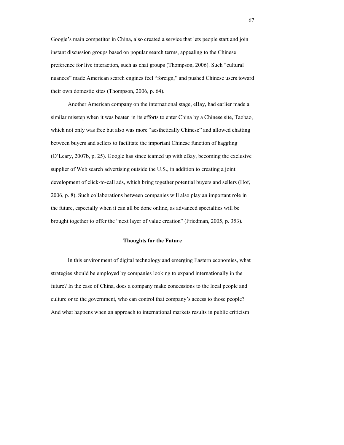Google's main competitor in China, also created a service that lets people start and join instant discussion groups based on popular search terms, appealing to the Chinese preference for live interaction, such as chat groups (Thompson, 2006). Such "cultural nuances" made American search engines feel "foreign," and pushed Chinese users toward their own domestic sites (Thompson, 2006, p. 64).

Another American company on the international stage, eBay, had earlier made a similar misstep when it was beaten in its efforts to enter China by a Chinese site, Taobao, which not only was free but also was more "aesthetically Chinese" and allowed chatting between buyers and sellers to facilitate the important Chinese function of haggling (O'Leary, 2007b, p. 25). Google has since teamed up with eBay, becoming the exclusive supplier of Web search advertising outside the U.S., in addition to creating a joint development of click-to-call ads, which bring together potential buyers and sellers (Hof, 2006, p. 8). Such collaborations between companies will also play an important role in the future, especially when it can all be done online, as advanced specialties will be brought together to offer the "next layer of value creation" (Friedman, 2005, p. 353).

## **Thoughts for the Future**

In this environment of digital technology and emerging Eastern economies, what strategies should be employed by companies looking to expand internationally in the future? In the case of China, does a company make concessions to the local people and culture or to the government, who can control that company's access to those people? And what happens when an approach to international markets results in public criticism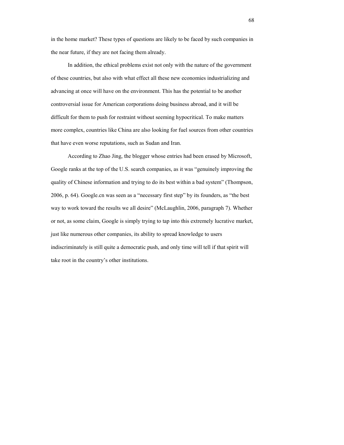in the home market? These types of questions are likely to be faced by such companies in the near future, if they are not facing them already.

 In addition, the ethical problems exist not only with the nature of the government of these countries, but also with what effect all these new economies industrializing and advancing at once will have on the environment. This has the potential to be another controversial issue for American corporations doing business abroad, and it will be difficult for them to push for restraint without seeming hypocritical. To make matters more complex, countries like China are also looking for fuel sources from other countries that have even worse reputations, such as Sudan and Iran.

According to Zhao Jing, the blogger whose entries had been erased by Microsoft, Google ranks at the top of the U.S. search companies, as it was "genuinely improving the quality of Chinese information and trying to do its best within a bad system" (Thompson, 2006, p. 64). Google.cn was seen as a "necessary first step" by its founders, as "the best way to work toward the results we all desire" (McLaughlin, 2006, paragraph 7). Whether or not, as some claim, Google is simply trying to tap into this extremely lucrative market, just like numerous other companies, its ability to spread knowledge to users indiscriminately is still quite a democratic push, and only time will tell if that spirit will take root in the country's other institutions.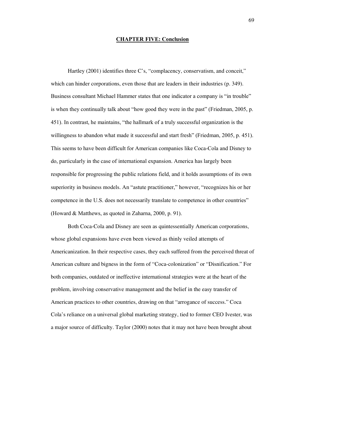## **CHAPTER FIVE: Conclusion**

Hartley (2001) identifies three C's, "complacency, conservatism, and conceit," which can hinder corporations, even those that are leaders in their industries (p. 349). Business consultant Michael Hammer states that one indicator a company is "in trouble" is when they continually talk about "how good they were in the past" (Friedman, 2005, p. 451). In contrast, he maintains, "the hallmark of a truly successful organization is the willingness to abandon what made it successful and start fresh" (Friedman, 2005, p. 451). This seems to have been difficult for American companies like Coca-Cola and Disney to do, particularly in the case of international expansion. America has largely been responsible for progressing the public relations field, and it holds assumptions of its own superiority in business models. An "astute practitioner," however, "recognizes his or her competence in the U.S. does not necessarily translate to competence in other countries" (Howard & Matthews, as quoted in Zaharna, 2000, p. 91).

Both Coca-Cola and Disney are seen as quintessentially American corporations, whose global expansions have even been viewed as thinly veiled attempts of Americanization. In their respective cases, they each suffered from the perceived threat of American culture and bigness in the form of "Coca-colonization" or "Disnification." For both companies, outdated or ineffective international strategies were at the heart of the problem, involving conservative management and the belief in the easy transfer of American practices to other countries, drawing on that "arrogance of success." Coca Cola's reliance on a universal global marketing strategy, tied to former CEO Ivester, was a major source of difficulty. Taylor (2000) notes that it may not have been brought about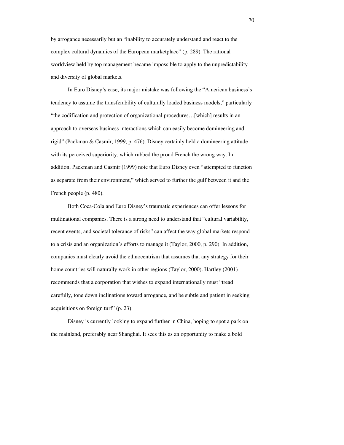by arrogance necessarily but an "inability to accurately understand and react to the complex cultural dynamics of the European marketplace" (p. 289). The rational worldview held by top management became impossible to apply to the unpredictability and diversity of global markets.

In Euro Disney's case, its major mistake was following the "American business's tendency to assume the transferability of culturally loaded business models," particularly "the codification and protection of organizational procedures…[which] results in an approach to overseas business interactions which can easily become domineering and rigid" (Packman & Casmir, 1999, p. 476). Disney certainly held a domineering attitude with its perceived superiority, which rubbed the proud French the wrong way. In addition, Packman and Casmir (1999) note that Euro Disney even "attempted to function as separate from their environment," which served to further the gulf between it and the French people (p. 480).

Both Coca-Cola and Euro Disney's traumatic experiences can offer lessons for multinational companies. There is a strong need to understand that "cultural variability, recent events, and societal tolerance of risks" can affect the way global markets respond to a crisis and an organization's efforts to manage it (Taylor, 2000, p. 290). In addition, companies must clearly avoid the ethnocentrism that assumes that any strategy for their home countries will naturally work in other regions (Taylor, 2000). Hartley (2001) recommends that a corporation that wishes to expand internationally must "tread carefully, tone down inclinations toward arrogance, and be subtle and patient in seeking acquisitions on foreign turf" (p. 23).

Disney is currently looking to expand further in China, hoping to spot a park on the mainland, preferably near Shanghai. It sees this as an opportunity to make a bold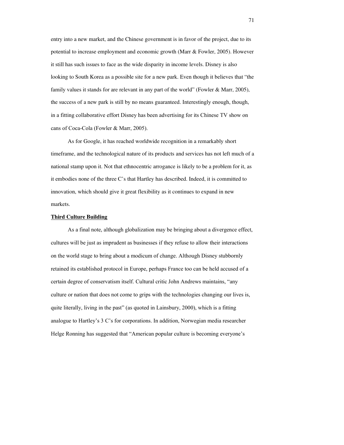entry into a new market, and the Chinese government is in favor of the project, due to its potential to increase employment and economic growth (Marr & Fowler, 2005). However it still has such issues to face as the wide disparity in income levels. Disney is also looking to South Korea as a possible site for a new park. Even though it believes that "the family values it stands for are relevant in any part of the world" (Fowler & Marr, 2005), the success of a new park is still by no means guaranteed. Interestingly enough, though, in a fitting collaborative effort Disney has been advertising for its Chinese TV show on cans of Coca-Cola (Fowler & Marr, 2005).

As for Google, it has reached worldwide recognition in a remarkably short timeframe, and the technological nature of its products and services has not left much of a national stamp upon it. Not that ethnocentric arrogance is likely to be a problem for it, as it embodies none of the three C's that Hartley has described. Indeed, it is committed to innovation, which should give it great flexibility as it continues to expand in new markets.

## **Third Culture Building**

As a final note, although globalization may be bringing about a divergence effect, cultures will be just as imprudent as businesses if they refuse to allow their interactions on the world stage to bring about a modicum of change. Although Disney stubbornly retained its established protocol in Europe, perhaps France too can be held accused of a certain degree of conservatism itself. Cultural critic John Andrews maintains, "any culture or nation that does not come to grips with the technologies changing our lives is, quite literally, living in the past" (as quoted in Lainsbury, 2000), which is a fitting analogue to Hartley's 3 C's for corporations. In addition, Norwegian media researcher Helge Ronning has suggested that "American popular culture is becoming everyone's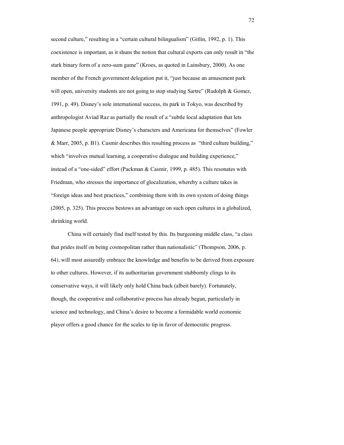second culture," resulting in a "certain cultural bilingualism" (Gitlin, 1992, p. 1). This coexistence is important, as it shuns the notion that cultural exports can only result in "the stark binary form of a zero-sum game" (Kroes, as quoted in Lainsbury, 2000). As one member of the French government delegation put it, "just because an amusement park will open, university students are not going to stop studying Sartre" (Rudolph & Gomez, 1991, p. 49). Disney's sole international success, its park in Tokyo, was described by anthropologist Aviad Raz as partially the result of a "subtle local adaptation that lets Japanese people appropriate Disney's characters and Americana for themselves" (Fowler & Marr, 2005, p. B1). Casmir describes this resulting process as "third culture building," which "involves mutual learning, a cooperative dialogue and building experience," instead of a "one-sided" effort (Packman & Casmir, 1999, p. 485). This resonates with Friedman, who stresses the importance of glocalization, whereby a culture takes in "foreign ideas and best practices," combining them with its own system of doing things (2005, p. 325). This process bestows an advantage on such open cultures in a globalized, shrinking world.

China will certainly find itself tested by this. Its burgeoning middle class, "a class that prides itself on being cosmopolitan rather than nationalistic" (Thompson, 2006, p. 64), will most assuredly embrace the knowledge and benefits to be derived from exposure to other cultures. However, if its authoritarian government stubbornly clings to its conservative ways, it will likely only hold China back (albeit barely). Fortunately, though, the cooperative and collaborative process has already begun, particularly in science and technology, and China's desire to become a formidable world economic player offers a good chance for the scales to tip in favor of democratic progress.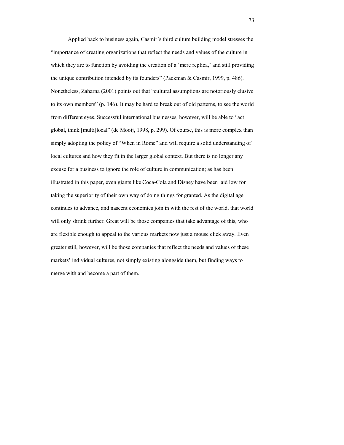Applied back to business again, Casmir's third culture building model stresses the "importance of creating organizations that reflect the needs and values of the culture in which they are to function by avoiding the creation of a 'mere replica,' and still providing the unique contribution intended by its founders" (Packman & Casmir, 1999, p. 486). Nonetheless, Zaharna (2001) points out that "cultural assumptions are notoriously elusive to its own members" (p. 146). It may be hard to break out of old patterns, to see the world from different eyes. Successful international businesses, however, will be able to "act global, think [multi]local" (de Mooij, 1998, p. 299). Of course, this is more complex than simply adopting the policy of "When in Rome" and will require a solid understanding of local cultures and how they fit in the larger global context. But there is no longer any excuse for a business to ignore the role of culture in communication; as has been illustrated in this paper, even giants like Coca-Cola and Disney have been laid low for taking the superiority of their own way of doing things for granted. As the digital age continues to advance, and nascent economies join in with the rest of the world, that world will only shrink further. Great will be those companies that take advantage of this, who are flexible enough to appeal to the various markets now just a mouse click away. Even greater still, however, will be those companies that reflect the needs and values of these markets' individual cultures, not simply existing alongside them, but finding ways to merge with and become a part of them.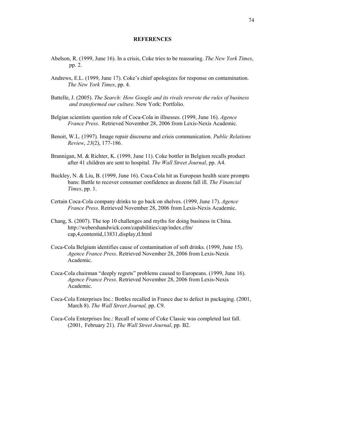## **REFERENCES**

- Abelson, R. (1999, June 16). In a crisis, Coke tries to be reassuring. *The New York Times*, pp. 2.
- Andrews, E.L. (1999, June 17). Coke's chief apologizes for response on contamination. *The New York Times*, pp. 4.
- Battelle, J. (2005). *The Search: How Google and its rivals rewrote the rules of business and transformed our culture*. New York: Portfolio.
- Belgian scientists question role of Coca-Cola in illnesses. (1999, June 16). *Agence France Press*. Retrieved November 28, 2006 from Lexis-Nexis Academic.
- Benoit, W.L. (1997). Image repair discourse and crisis communication. *Public Relations Review*, *23*(2), 177-186.
- Brannigan, M. & Richter, K. (1999, June 11). Coke bottler in Belgium recalls product after 41 children are sent to hospital. *The Wall Street Journal*, pp. A4.
- Buckley, N. & Liu, B. (1999, June 16). Coca-Cola hit as European health scare prompts bans: Battle to recover consumer confidence as dozens fall ill. *The Financial Times*, pp. 1.
- Certain Coca-Cola company drinks to go back on shelves. (1999, June 17). *Agence France Press*. Retrieved November 28, 2006 from Lexis-Nexis Academic.
- Chang, S. (2007). The top 10 challenges and myths for doing business in China. http://webershandwick.com/capabilities/cap/index.cfm/ cap,4,contentid,13831,display,tl.html
- Coca-Cola Belgium identifies cause of contamination of soft drinks. (1999, June 15). *Agence France Press*. Retrieved November 28, 2006 from Lexis-Nexis Academic.
- Coca-Cola chairman "deeply regrets" problems caused to Europeans. (1999, June 16). *Agence France Press*. Retrieved November 28, 2006 from Lexis-Nexis Academic.
- Coca-Cola Enterprises Inc.: Bottles recalled in France due to defect in packaging. (2001, March 8). *The Wall Street Journal,* pp. C9.
- Coca-Cola Enterprises Inc.: Recall of some of Coke Classic was completed last fall. (2001, February 21). *The Wall Street Journal*, pp. B2.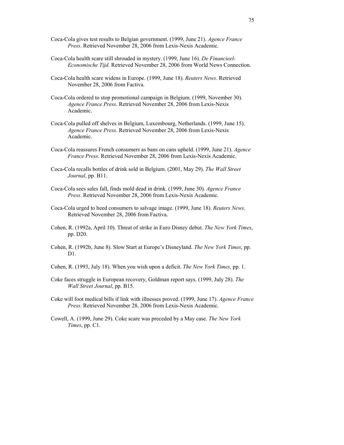- Coca-Cola gives test results to Belgian government. (1999, June 21). *Agence France Press*. Retrieved November 28, 2006 from Lexis-Nexis Academic.
- Coca-Cola health scare still shrouded in mystery. (1999, June 16). *De Financieel- Economische Tijd.* Retrieved November 28, 2006 from World News Connection.
- Coca-Cola health scare widens in Europe. (1999, June 18). *Reuters News*. Retrieved November 28, 2006 from Factiva.
- Coca-Cola ordered to stop promotional campaign in Belgium. (1999, November 30). *Agence France Press*. Retrieved November 28, 2006 from Lexis-Nexis Academic.
- Coca-Cola pulled off shelves in Belgium, Luxembourg, Netherlands. (1999, June 15). *Agence France Press*. Retrieved November 28, 2006 from Lexis-Nexis Academic.
- Coca-Cola reassures French consumers as bans on cans upheld. (1999, June 21). *Agence France Press*. Retrieved November 28, 2006 from Lexis-Nexis Academic.
- Coca-Cola recalls bottles of drink sold in Belgium. (2001, May 29). *The Wall Street Journal*, pp. B11.
- Coca-Cola sees sales fall, finds mold dead in drink. (1999, June 30). *Agence France Press*. Retrieved November 28, 2006 from Lexis-Nexis Academic.
- Coca-Cola urged to heed consumers to salvage image. (1999, June 18). *Reuters News*. Retrieved November 28, 2006 from Factiva.
- Cohen, R. (1992a, April 10). Threat of strike in Euro Disney debut. *The New York Times*, pp. D20.
- Cohen, R. (1992b, June 8). Slow Start at Europe's Disneyland. *The New York Times*, pp. D1.
- Cohen, R. (1993, July 18). When you wish upon a deficit. *The New York Times,* pp. 1.
- Coke faces struggle in European recovery, Goldman report says. (1999, July 28). *The Wall Street Journal*, pp. B15.
- Coke will foot medical bills if link with illnesses proved. (1999, June 17). *Agence France Press*. Retrieved November 28, 2006 from Lexis-Nexis Academic.
- Cowell, A. (1999, June 29). Coke scare was preceded by a May case. *The New York Times*, pp. C1.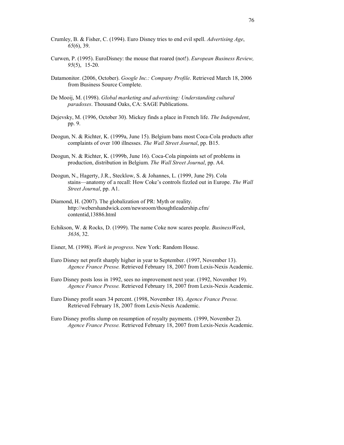- Crumley, B. & Fisher, C. (1994). Euro Disney tries to end evil spell. *Advertising Age*, *65*(6), 39.
- Curwen, P. (1995). EuroDisney: the mouse that roared (not!). *European Business Review, 95*(5), 15-20.
- Datamonitor. (2006, October). *Google Inc.: Company Profile*. Retrieved March 18, 2006 from Business Source Complete.
- De Mooij, M. (1998). *Global marketing and advertising: Understanding cultural paradoxes*. Thousand Oaks, CA: SAGE Publications.
- Dejevsky, M. (1996, October 30). Mickey finds a place in French life. *The Independent*, pp. 9.
- Deogun, N. & Richter, K. (1999a, June 15). Belgium bans most Coca-Cola products after complaints of over 100 illnesses. *The Wall Street Journal*, pp. B15.
- Deogun, N. & Richter, K. (1999b, June 16). Coca-Cola pinpoints set of problems in production, distribution in Belgium. *The Wall Street Journal*, pp. A4.
- Deogun, N., Hagerty, J.R., Stecklow, S. & Johannes, L. (1999, June 29). Cola stains—anatomy of a recall: How Coke's controls fizzled out in Europe. *The Wall Street Journal*, pp. A1.
- Diamond, H. (2007). The globalization of PR: Myth or reality. http://webershandwick.com/newsroom/thoughtleadership.cfm/ contentid,13886.html
- Echikson, W. & Rocks, D. (1999). The name Coke now scares people. *BusinessWeek*, *3636*, 32.
- Eisner, M. (1998). *Work in progress*. New York: Random House.
- Euro Disney net profit sharply higher in year to September. (1997, November 13). *Agence France Presse.* Retrieved February 18, 2007 from Lexis-Nexis Academic.
- Euro Disney posts loss in 1992, sees no improvement next year. (1992, November 19). *Agence France Presse.* Retrieved February 18, 2007 from Lexis-Nexis Academic.
- Euro Disney profit soars 34 percent. (1998, November 18). *Agence France Presse.* Retrieved February 18, 2007 from Lexis-Nexis Academic.
- Euro Disney profits slump on resumption of royalty payments. (1999, November 2). *Agence France Presse.* Retrieved February 18, 2007 from Lexis-Nexis Academic.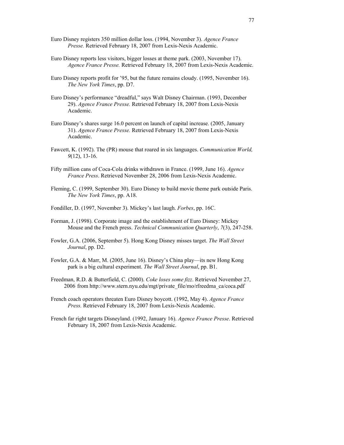- Euro Disney registers 350 million dollar loss. (1994, November 3). *Agence France Presse.* Retrieved February 18, 2007 from Lexis-Nexis Academic.
- Euro Disney reports less visitors, bigger losses at theme park. (2003, November 17). *Agence France Presse.* Retrieved February 18, 2007 from Lexis-Nexis Academic.
- Euro Disney reports profit for '95, but the future remains cloudy. (1995, November 16). *The New York Times*, pp. D7.
- Euro Disney's performance "dreadful," says Walt Disney Chairman. (1993, December 29). *Agence France Presse.* Retrieved February 18, 2007 from Lexis-Nexis Academic.
- Euro Disney's shares surge 16.0 percent on launch of capital increase. (2005, January 31). *Agence France Presse.* Retrieved February 18, 2007 from Lexis-Nexis Academic.
- Fawcett, K. (1992). The (PR) mouse that roared in six languages. *Communication World, 9*(12), 13-16.
- Fifty million cans of Coca-Cola drinks withdrawn in France. (1999, June 16). *Agence France Press*. Retrieved November 28, 2006 from Lexis-Nexis Academic.
- Fleming, C. (1999, September 30). Euro Disney to build movie theme park outside Paris. *The New York Times*, pp. A18.
- Fondiller, D. (1997, November 3). Mickey's last laugh. *Forbes*, pp. 16C.
- Forman, J. (1998). Corporate image and the establishment of Euro Disney: Mickey Mouse and the French press. *Technical Communication Quarterly*, *7*(3), 247-258.
- Fowler, G.A. (2006, September 5). Hong Kong Disney misses target. *The Wall Street Journal*, pp. D2.
- Fowler, G.A. & Marr, M. (2005, June 16). Disney's China play—its new Hong Kong park is a big cultural experiment. *The Wall Street Journal*, pp. B1.
- Freedman, R.D. & Butterfield, C. (2000). *Coke loses some fizz*. Retrieved November 27, 2006 from http://www.stern.nyu.edu/mgt/private\_file/mo/rfreedma\_ca/coca.pdf
- French coach operators threaten Euro Disney boycott. (1992, May 4). *Agence France Press.* Retrieved February 18, 2007 from Lexis-Nexis Academic.
- French far right targets Disneyland. (1992, January 16). *Agence France Presse*. Retrieved February 18, 2007 from Lexis-Nexis Academic.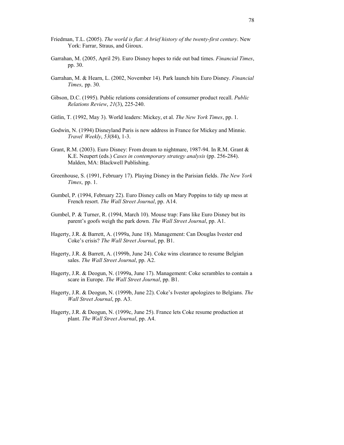- Friedman, T.L. (2005). *The world is flat: A brief history of the twenty-first century*. New York: Farrar, Straus, and Giroux.
- Garrahan, M. (2005, April 29). Euro Disney hopes to ride out bad times. *Financial Times*, pp. 30.
- Garrahan, M. & Hearn, L. (2002, November 14). Park launch hits Euro Disney. *Financial Times*, pp. 30.
- Gibson, D.C. (1995). Public relations considerations of consumer product recall. *Public Relations Review*, *21*(3), 225-240.
- Gitlin, T. (1992, May 3). World leaders: Mickey, et al. *The New York Times*, pp. 1.
- Godwin, N. (1994) Disneyland Paris is new address in France for Mickey and Minnie. *Travel Weekly*, *53*(84), 1-3.
- Grant, R.M. (2003). Euro Disney: From dream to nightmare, 1987-94. In R.M. Grant & K.E. Neupert (eds.) *Cases in contemporary strategy analysis* (pp. 256-284). Malden, MA: Blackwell Publishing.
- Greenhouse, S. (1991, February 17). Playing Disney in the Parisian fields. *The New York Times*, pp. 1.
- Gumbel, P. (1994, February 22). Euro Disney calls on Mary Poppins to tidy up mess at French resort. *The Wall Street Journal*, pp. A14.
- Gumbel, P. & Turner, R. (1994, March 10). Mouse trap: Fans like Euro Disney but its parent's goofs weigh the park down. *The Wall Street Journal*, pp. A1.
- Hagerty, J.R. & Barrett, A. (1999a, June 18). Management: Can Douglas Ivester end Coke's crisis? *The Wall Street Journal*, pp. B1.
- Hagerty, J.R. & Barrett, A. (1999b, June 24). Coke wins clearance to resume Belgian sales. *The Wall Street Journal*, pp. A2.
- Hagerty, J.R. & Deogun, N. (1999a, June 17). Management: Coke scrambles to contain a scare in Europe. *The Wall Street Journal*, pp. B1.
- Hagerty, J.R. & Deogun, N. (1999b, June 22). Coke's Ivester apologizes to Belgians. *The Wall Street Journal*, pp. A3.
- Hagerty, J.R. & Deogun, N. (1999c, June 25). France lets Coke resume production at plant. *The Wall Street Journal*, pp. A4.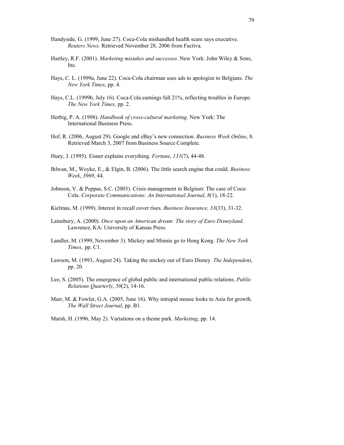- Handyside, G. (1999, June 27). Coca-Cola mishandled health scare says executive. *Reuters News.* Retrieved November 28, 2006 from Factiva.
- Hartley, R.F. (2001). *Marketing mistakes and successes.* New York: John Wiley & Sons, Inc.
- Hays, C. L. (1999a, June 22). Coca-Cola chairman uses ads to apologize to Belgians. *The New York Times*, pp. 4.
- Hays, C.L. (1999b, July 16). Coca-Cola earnings fall 21%, reflecting troubles in Europe. *The New York Times,* pp. 2.
- Herbig, P. A. (1998). *Handbook of cross-cultural marketing*. New York: The International Business Press.
- Hof, R. (2006, August 29). Google and eBay's new connection. *Business Week Online*, 8. Retrieved March 3, 2007 from Business Source Complete.
- Huey, J. (1995). Eisner explains everything. *Fortune*, *131*(7), 44-48.
- Ihlwan, M., Woyke, E., & Elgin, B. (2006). The little search engine that could. *Business Week*, *3969*, 44.
- Johnson, V. & Peppas, S.C. (2003). Crisis management in Belgium: The case of Coca- Cola. *Corporate Communications: An International Journal*, *8*(1), 18-22.
- Kielmas, M. (1999). Interest in recall cover rises. *Business Insurance, 33*(33), 31-32.
- Lainsbury, A. (2000). *Once upon an American dream: The story of Euro Disneyland*. Lawrence, KA: University of Kansas Press.
- Landler, M. (1999, November 3). Mickey and Minnie go to Hong Kong. *The New York Times*, pp. C1.
- Lawson, M. (1993, August 24). Taking the mickey out of Euro Disney. *The Independent*, pp. 20.
- Lee, S. (2005). The emergence of global public and international public relations. *Public Relations Quarterly*, *50*(2), 14-16.
- Marr, M. & Fowler, G.A. (2005, June 16). Why intrepid mouse looks to Asia for growth. *The Wall Street Journal*, pp. B1.
- Marsh, H. (1996, May 2). Variations on a theme park. *Marketing*, pp. 14.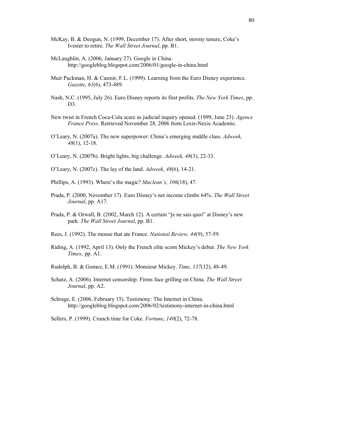- McKay, B. & Deogun, N. (1999, December 17). After short, stormy tenure, Coke's Ivester to retire. *The Wall Street Journal*, pp. B1.
- McLaughlin, A. (2006, January 27). Google in China. http://googleblog.blogspot.com/2006/01/google-in-china.html
- Muir Packman, H. & Casmir, F.L. (1999). Learning from the Euro Disney experience. *Gazette*, *61*(6), 473-489.
- Nash, N.C. (1995, July 26). Euro Disney reports its first profits. *The New York Times*, pp. D3.
- New twist in French Coca-Cola scare as judicial inquiry opened. (1999, June 23). *Agence France Press*. Retrieved November 28, 2006 from Lexis-Nexis Academic.
- O'Leary, N. (2007a). The new superpower: China's emerging middle class. *Adweek, 48*(1), 12-18.
- O'Leary, N. (2007b). Bright lights, big challenge. *Adweek, 48*(3), 22-33.
- O'Leary, N. (2007c). The lay of the land. *Adweek*, *48*(6), 14-21.
- Phillips, A. (1993). Where's the magic? *Maclean's, 106*(18), 47.
- Prada, P. (2000, November 17). Euro Disney's net income climbs 64%. *The Wall Street Journal*, pp. A17.
- Prada, P. & Orwall, B. (2002, March 12). A certain "je ne sais quoi" at Disney's new park. *The Wall Street Journal*, pp. B1.
- Rees, J. (1992). The mouse that ate France. *National Review, 44*(9), 57-59.
- Riding, A. (1992, April 13). Only the French elite scorn Mickey's debut. *The New York Times*, pp. A1.
- Rudolph, B. & Gomez, E.M. (1991). Monsieur Mickey. *Time*, *137*(12), 48-49.
- Schatz, A. (2006). Internet censorship: Firms face grilling on China. *The Wall Street Journal*, pp. A2.
- Schrage, E. (2006, February 15). Testimony: The Internet in China. http://googleblog.blogspot.com/2006/02/testimony-internet-in-china.html

Sellers, P. (1999). Crunch time for Coke. *Fortune*, *140*(2), 72-78.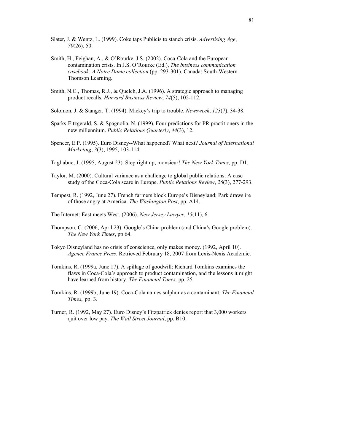- Slater, J. & Wentz, L. (1999). Coke taps Publicis to stanch crisis. *Advertising Age*, *70*(26), 50.
- Smith, H., Feighan, A., & O'Rourke, J.S. (2002). Coca-Cola and the European contamination crisis. In J.S. O'Rourke (Ed.), *The business communication casebook: A Notre Dame collection* (pp. 293-301). Canada: South-Western Thomson Learning.
- Smith, N.C., Thomas, R.J., & Quelch, J.A. (1996). A strategic approach to managing product recalls. *Harvard Business Review*, *74*(5), 102-112.
- Solomon, J. & Stanger, T. (1994). Mickey's trip to trouble. *Newsweek*, *123*(7), 34-38.
- Sparks-Fitzgerald, S. & Spagnolia, N. (1999). Four predictions for PR practitioners in the new millennium. *Public Relations Quarterly*, *44*(3), 12.
- Spencer, E.P. (1995). Euro Disney--What happened? What next? *Journal of International Marketing*, *3*(3), 1995, 103-114.
- Tagliabue, J. (1995, August 23). Step right up, monsieur! *The New York Times*, pp. D1.
- Taylor, M. (2000). Cultural variance as a challenge to global public relations: A case study of the Coca-Cola scare in Europe. *Public Relations Review*, *26*(3), 277-293.
- Tempest, R. (1992, June 27). French farmers block Europe's Disneyland; Park draws ire of those angry at America. *The Washington Post*, pp. A14.
- The Internet: East meets West. (2006). *New Jersey Lawyer*, *15*(11), 6.
- Thompson, C. (2006, April 23). Google's China problem (and China's Google problem). *The New York Times*, pp 64.
- Tokyo Disneyland has no crisis of conscience, only makes money. (1992, April 10). *Agence France Press*. Retrieved February 18, 2007 from Lexis-Nexis Academic.
- Tomkins, R. (1999a, June 17). A spillage of goodwill: Richard Tomkins examines the flaws in Coca-Cola's approach to product contamination, and the lessons it might have learned from history. *The Financial Times,* pp. 25.
- Tomkins, R. (1999b, June 19). Coca-Cola names sulphur as a contaminant. *The Financial Times*, pp. 3.
- Turner, R. (1992, May 27). Euro Disney's Fitzpatrick denies report that 3,000 workers quit over low pay. *The Wall Street Journal*, pp. B10.